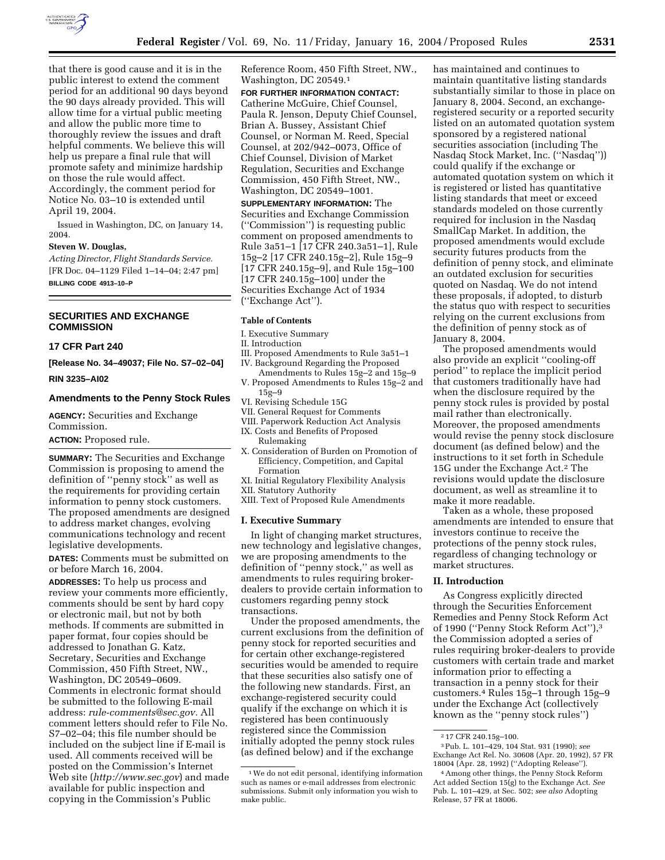

that there is good cause and it is in the public interest to extend the comment period for an additional 90 days beyond the 90 days already provided. This will allow time for a virtual public meeting and allow the public more time to thoroughly review the issues and draft helpful comments. We believe this will help us prepare a final rule that will promote safety and minimize hardship on those the rule would affect. Accordingly, the comment period for Notice No. 03–10 is extended until April 19, 2004.

Issued in Washington, DC, on January 14, 2004.

#### **Steven W. Douglas,**

*Acting Director, Flight Standards Service.* [FR Doc. 04–1129 Filed 1–14–04; 2:47 pm] **BILLING CODE 4913–10–P**

### **SECURITIES AND EXCHANGE COMMISSION**

#### **17 CFR Part 240**

**[Release No. 34–49037; File No. S7–02–04]** 

**RIN 3235–AI02**

# **Amendments to the Penny Stock Rules**

**AGENCY:** Securities and Exchange Commission.

**ACTION:** Proposed rule.

**SUMMARY:** The Securities and Exchange Commission is proposing to amend the definition of ''penny stock'' as well as the requirements for providing certain information to penny stock customers. The proposed amendments are designed to address market changes, evolving communications technology and recent legislative developments.

**DATES:** Comments must be submitted on or before March 16, 2004.

**ADDRESSES:** To help us process and review your comments more efficiently, comments should be sent by hard copy or electronic mail, but not by both methods. If comments are submitted in paper format, four copies should be addressed to Jonathan G. Katz, Secretary, Securities and Exchange Commission, 450 Fifth Street, NW., Washington, DC 20549–0609. Comments in electronic format should be submitted to the following E-mail address: *rule-comments@sec.gov.* All comment letters should refer to File No. S7–02–04; this file number should be included on the subject line if E-mail is used. All comments received will be posted on the Commission's Internet Web site (*http://www.sec.gov*) and made available for public inspection and copying in the Commission's Public

Reference Room, 450 Fifth Street, NW., Washington, DC 20549.1

# **FOR FURTHER INFORMATION CONTACT:**

Catherine McGuire, Chief Counsel, Paula R. Jenson, Deputy Chief Counsel, Brian A. Bussey, Assistant Chief Counsel, or Norman M. Reed, Special Counsel, at 202/942–0073, Office of Chief Counsel, Division of Market Regulation, Securities and Exchange Commission, 450 Fifth Street, NW., Washington, DC 20549–1001.

**SUPPLEMENTARY INFORMATION:** The Securities and Exchange Commission (''Commission'') is requesting public comment on proposed amendments to Rule 3a51–1 [17 CFR 240.3a51–1], Rule 15g–2 [17 CFR 240.15g–2], Rule 15g–9 [17 CFR 240.15g–9], and Rule 15g–100 [17 CFR 240.15g–100] under the Securities Exchange Act of 1934 (''Exchange Act'').

#### **Table of Contents**

I. Executive Summary

II. Introduction

- III. Proposed Amendments to Rule 3a51–1 IV. Background Regarding the Proposed
- Amendments to Rules 15g–2 and 15g–9 V. Proposed Amendments to Rules 15g–2 and
- 15g–9
- VI. Revising Schedule 15G
- VII. General Request for Comments
- VIII. Paperwork Reduction Act Analysis
- IX. Costs and Benefits of Proposed Rulemaking
- X. Consideration of Burden on Promotion of Efficiency, Competition, and Capital Formation
- XI. Initial Regulatory Flexibility Analysis
- XII. Statutory Authority
- XIII. Text of Proposed Rule Amendments

#### **I. Executive Summary**

In light of changing market structures, new technology and legislative changes, we are proposing amendments to the definition of ''penny stock,'' as well as amendments to rules requiring brokerdealers to provide certain information to customers regarding penny stock transactions.

Under the proposed amendments, the current exclusions from the definition of penny stock for reported securities and for certain other exchange-registered securities would be amended to require that these securities also satisfy one of the following new standards. First, an exchange-registered security could qualify if the exchange on which it is registered has been continuously registered since the Commission initially adopted the penny stock rules (as defined below) and if the exchange

has maintained and continues to maintain quantitative listing standards substantially similar to those in place on January 8, 2004. Second, an exchangeregistered security or a reported security listed on an automated quotation system sponsored by a registered national securities association (including The Nasdaq Stock Market, Inc. (''Nasdaq'')) could qualify if the exchange or automated quotation system on which it is registered or listed has quantitative listing standards that meet or exceed standards modeled on those currently required for inclusion in the Nasdaq SmallCap Market. In addition, the proposed amendments would exclude security futures products from the definition of penny stock, and eliminate an outdated exclusion for securities quoted on Nasdaq. We do not intend these proposals, if adopted, to disturb the status quo with respect to securities relying on the current exclusions from the definition of penny stock as of January 8, 2004.

The proposed amendments would also provide an explicit ''cooling-off period'' to replace the implicit period that customers traditionally have had when the disclosure required by the penny stock rules is provided by postal mail rather than electronically. Moreover, the proposed amendments would revise the penny stock disclosure document (as defined below) and the instructions to it set forth in Schedule 15G under the Exchange Act.2 The revisions would update the disclosure document, as well as streamline it to make it more readable.

Taken as a whole, these proposed amendments are intended to ensure that investors continue to receive the protections of the penny stock rules, regardless of changing technology or market structures.

#### **II. Introduction**

As Congress explicitly directed through the Securities Enforcement Remedies and Penny Stock Reform Act of 1990 (''Penny Stock Reform Act''),3 the Commission adopted a series of rules requiring broker-dealers to provide customers with certain trade and market information prior to effecting a transaction in a penny stock for their customers.4 Rules 15g–1 through 15g–9 under the Exchange Act (collectively known as the ''penny stock rules'')

<sup>1</sup>We do not edit personal, identifying information such as names or e-mail addresses from electronic submissions. Submit only information you wish to make public.

<sup>2</sup> 17 CFR 240.15g–100.

<sup>3</sup>Pub. L. 101–429, 104 Stat. 931 (1990); *see* Exchange Act Rel. No. 30608 (Apr. 20, 1992), 57 FR 18004 (Apr. 28, 1992) (''Adopting Release'').

<sup>4</sup>Among other things, the Penny Stock Reform Act added Section 15(g) to the Exchange Act. *See* Pub. L. 101–429, at Sec. 502; *see also* Adopting Release, 57 FR at 18006.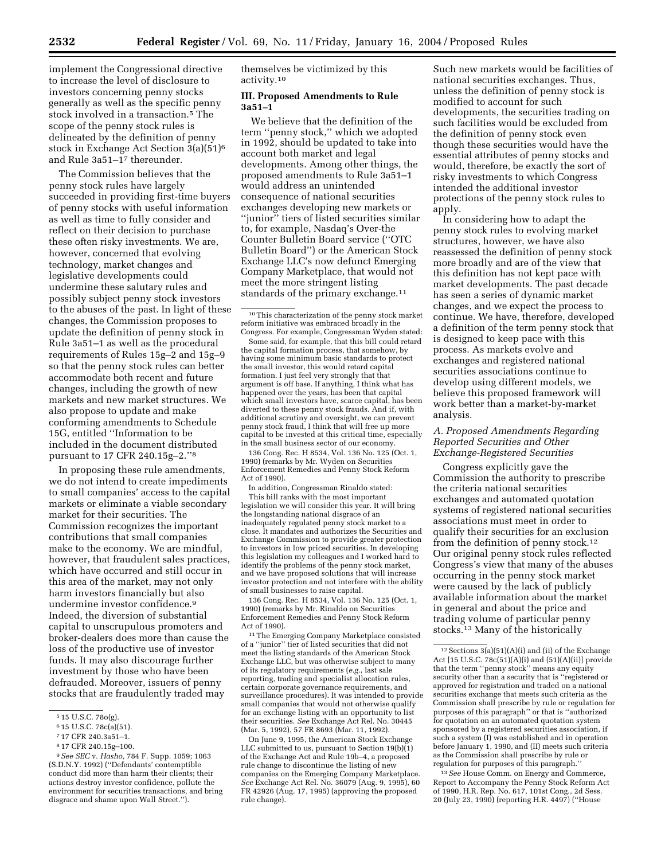implement the Congressional directive to increase the level of disclosure to investors concerning penny stocks generally as well as the specific penny stock involved in a transaction.5 The scope of the penny stock rules is delineated by the definition of penny stock in Exchange Act Section 3(a)(51)6 and Rule 3a51–17 thereunder.

The Commission believes that the penny stock rules have largely succeeded in providing first-time buyers of penny stocks with useful information as well as time to fully consider and reflect on their decision to purchase these often risky investments. We are, however, concerned that evolving technology, market changes and legislative developments could undermine these salutary rules and possibly subject penny stock investors to the abuses of the past. In light of these changes, the Commission proposes to update the definition of penny stock in Rule 3a51–1 as well as the procedural requirements of Rules 15g–2 and 15g–9 so that the penny stock rules can better accommodate both recent and future changes, including the growth of new markets and new market structures. We also propose to update and make conforming amendments to Schedule 15G, entitled ''Information to be included in the document distributed pursuant to 17 CFR 240.15g–2.''8

In proposing these rule amendments, we do not intend to create impediments to small companies' access to the capital markets or eliminate a viable secondary market for their securities. The Commission recognizes the important contributions that small companies make to the economy. We are mindful, however, that fraudulent sales practices, which have occurred and still occur in this area of the market, may not only harm investors financially but also undermine investor confidence.9 Indeed, the diversion of substantial capital to unscrupulous promoters and broker-dealers does more than cause the loss of the productive use of investor funds. It may also discourage further investment by those who have been defrauded. Moreover, issuers of penny stocks that are fraudulently traded may

8 17 CFR 240.15g–100.

9*See SEC* v. *Hasho,* 784 F. Supp. 1059; 1063 (S.D.N.Y. 1992) (''Defendants' contemptible conduct did more than harm their clients; their actions destroy investor confidence, pollute the environment for securities transactions, and bring disgrace and shame upon Wall Street.'').

themselves be victimized by this activity.10

### **III. Proposed Amendments to Rule 3a51–1**

We believe that the definition of the term ''penny stock,'' which we adopted in 1992, should be updated to take into account both market and legal developments. Among other things, the proposed amendments to Rule 3a51–1 would address an unintended consequence of national securities exchanges developing new markets or ''junior'' tiers of listed securities similar to, for example, Nasdaq's Over-the Counter Bulletin Board service (''OTC Bulletin Board'') or the American Stock Exchange LLC's now defunct Emerging Company Marketplace, that would not meet the more stringent listing standards of the primary exchange.<sup>11</sup>

Some said, for example, that this bill could retard the capital formation process, that somehow, by having some minimum basic standards to protect the small investor, this would retard capital formation. I just feel very strongly that that argument is off base. If anything, I think what has happened over the years, has been that capital which small investors have, scarce capital, has been diverted to these penny stock frauds. And if, with additional scrutiny and oversight, we can prevent penny stock fraud, I think that will free up more capital to be invested at this critical time, especially in the small business sector of our economy.

136 Cong. Rec. H 8534, Vol. 136 No. 125 (Oct. 1, 1990) (remarks by Mr. Wyden on Securities Enforcement Remedies and Penny Stock Reform Act of 1990).

In addition, Congressman Rinaldo stated: This bill ranks with the most important legislation we will consider this year. It will bring the longstanding national disgrace of an inadequately regulated penny stock market to a close. It mandates and authorizes the Securities and Exchange Commission to provide greater protection to investors in low priced securities. In developing this legislation my colleagues and I worked hard to identify the problems of the penny stock market, and we have proposed solutions that will increase investor protection and not interfere with the ability of small businesses to raise capital.

136 Cong. Rec. H 8534, Vol. 136 No. 125 (Oct. 1, 1990) (remarks by Mr. Rinaldo on Securities Enforcement Remedies and Penny Stock Reform Act of 1990).

11The Emerging Company Marketplace consisted of a ''junior'' tier of listed securities that did not meet the listing standards of the American Stock Exchange LLC, but was otherwise subject to many of its regulatory requirements (*e.g.*, last sale reporting, trading and specialist allocation rules, certain corporate governance requirements, and surveillance procedures). It was intended to provide small companies that would not otherwise qualify for an exchange listing with an opportunity to list their securities. *See* Exchange Act Rel. No. 30445 (Mar. 5, 1992), 57 FR 8693 (Mar. 11, 1992).

On June 9, 1995, the American Stock Exchange LLC submitted to us, pursuant to Section  $19(b)(1)$ of the Exchange Act and Rule 19b–4, a proposed rule change to discontinue the listing of new companies on the Emerging Company Marketplace. *See* Exchange Act Rel. No. 36079 (Aug. 9, 1995), 60 FR 42926 (Aug. 17, 1995) (approving the proposed rule change).

Such new markets would be facilities of national securities exchanges. Thus, unless the definition of penny stock is modified to account for such developments, the securities trading on such facilities would be excluded from the definition of penny stock even though these securities would have the essential attributes of penny stocks and would, therefore, be exactly the sort of risky investments to which Congress intended the additional investor protections of the penny stock rules to apply.

In considering how to adapt the penny stock rules to evolving market structures, however, we have also reassessed the definition of penny stock more broadly and are of the view that this definition has not kept pace with market developments. The past decade has seen a series of dynamic market changes, and we expect the process to continue. We have, therefore, developed a definition of the term penny stock that is designed to keep pace with this process. As markets evolve and exchanges and registered national securities associations continue to develop using different models, we believe this proposed framework will work better than a market-by-market analysis.

# *A. Proposed Amendments Regarding Reported Securities and Other Exchange-Registered Securities*

Congress explicitly gave the Commission the authority to prescribe the criteria national securities exchanges and automated quotation systems of registered national securities associations must meet in order to qualify their securities for an exclusion from the definition of penny stock.12 Our original penny stock rules reflected Congress's view that many of the abuses occurring in the penny stock market were caused by the lack of publicly available information about the market in general and about the price and trading volume of particular penny stocks.13 Many of the historically

13*See* House Comm. on Energy and Commerce, Report to Accompany the Penny Stock Reform Act of 1990, H.R. Rep. No. 617, 101st Cong., 2d Sess. 20 (July 23, 1990) (reporting H.R. 4497) (''House

<sup>5</sup> 15 U.S.C. 78o(g).

<sup>6</sup> 15 U.S.C. 78c(a)(51).

<sup>7</sup> 17 CFR 240.3a51–1.

<sup>10</sup>This characterization of the penny stock market reform initiative was embraced broadly in the Congress. For example, Congressman Wyden stated:

 $12$  Sections 3(a)(51)(A)(i) and (ii) of the Exchange Act [15 U.S.C. 78c(51)(A)(i) and (51)(A)(ii)] provide that the term ''penny stock'' means any equity security other than a security that is ''registered or approved for registration and traded on a national securities exchange that meets such criteria as the Commission shall prescribe by rule or regulation for purposes of this paragraph'' or that is ''authorized for quotation on an automated quotation system sponsored by a registered securities association, if such a system (I) was established and in operation before January 1, 1990, and (II) meets such criteria as the Commission shall prescribe by rule or regulation for purposes of this paragraph.''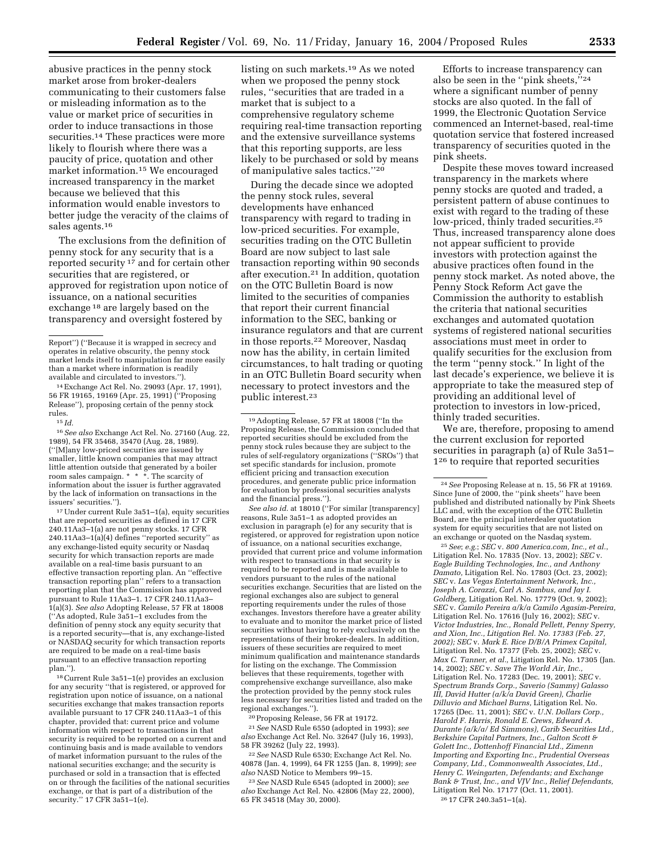abusive practices in the penny stock market arose from broker-dealers communicating to their customers false or misleading information as to the value or market price of securities in order to induce transactions in those securities.14 These practices were more likely to flourish where there was a paucity of price, quotation and other market information.15 We encouraged increased transparency in the market because we believed that this information would enable investors to better judge the veracity of the claims of sales agents.16

The exclusions from the definition of penny stock for any security that is a reported security 17 and for certain other securities that are registered, or approved for registration upon notice of issuance, on a national securities exchange 18 are largely based on the transparency and oversight fostered by

14Exchange Act Rel. No. 29093 (Apr. 17, 1991), 56 FR 19165, 19169 (Apr. 25, 1991) (''Proposing Release''), proposing certain of the penny stock rules. 15 *Id.*

16*See also* Exchange Act Rel. No. 27160 (Aug. 22, 1989), 54 FR 35468, 35470 (Aug. 28, 1989). (''[M]any low-priced securities are issued by smaller, little known companies that may attract little attention outside that generated by a boiler room sales campaign. \* \* \*. The scarcity of information about the issuer is further aggravated by the lack of information on transactions in the issuers' securities.'').

17Under current Rule 3a51–1(a), equity securities that are reported securities as defined in 17 CFR 240.11Aa3–1(a) are not penny stocks. 17 CFR 240.11Aa3–1(a)(4) defines ''reported security'' as any exchange-listed equity security or Nasdaq security for which transaction reports are made available on a real-time basis pursuant to an effective transaction reporting plan. An ''effective transaction reporting plan'' refers to a transaction reporting plan that the Commission has approved pursuant to Rule 11Aa3–1. 17 CFR 240.11Aa3– 1(a)(3). *See also* Adopting Release, 57 FR at 18008 (''As adopted, Rule 3a51–1 excludes from the definition of penny stock any equity security that is a reported security—that is, any exchange-listed or NASDAQ security for which transaction reports are required to be made on a real-time basis pursuant to an effective transaction reporting plan.'').

18Current Rule 3a51–1(e) provides an exclusion for any security ''that is registered, or approved for registration upon notice of issuance, on a national securities exchange that makes transaction reports available pursuant to 17 CFR 240.11Aa3–1 of this chapter, provided that: current price and volume information with respect to transactions in that security is required to be reported on a current and continuing basis and is made available to vendors of market information pursuant to the rules of the national securities exchange; and the security is purchased or sold in a transaction that is effected on or through the facilities of the national securities exchange, or that is part of a distribution of the security.'' 17 CFR 3a51–1(e).

listing on such markets.19 As we noted when we proposed the penny stock rules, ''securities that are traded in a market that is subject to a comprehensive regulatory scheme requiring real-time transaction reporting and the extensive surveillance systems that this reporting supports, are less likely to be purchased or sold by means of manipulative sales tactics.''20

During the decade since we adopted the penny stock rules, several developments have enhanced transparency with regard to trading in low-priced securities. For example, securities trading on the OTC Bulletin Board are now subject to last sale transaction reporting within 90 seconds after execution.21 In addition, quotation on the OTC Bulletin Board is now limited to the securities of companies that report their current financial information to the SEC, banking or insurance regulators and that are current in those reports.22 Moreover, Nasdaq now has the ability, in certain limited circumstances, to halt trading or quoting in an OTC Bulletin Board security when necessary to protect investors and the public interest.23

*See also id.* at 18010 (''For similar [transparency] reasons, Rule 3a51–1 as adopted provides an exclusion in paragraph (e) for any security that is registered, or approved for registration upon notice of issuance, on a national securities exchange, provided that current price and volume information with respect to transactions in that security is required to be reported and is made available to vendors pursuant to the rules of the national securities exchange. Securities that are listed on the regional exchanges also are subject to general reporting requirements under the rules of those exchanges. Investors therefore have a greater ability to evaluate and to monitor the market price of listed securities without having to rely exclusively on the representations of their broker-dealers. In addition, issuers of these securities are required to meet minimum qualification and maintenance standards for listing on the exchange. The Commission believes that these requirements, together with comprehensive exchange surveillance, also make the protection provided by the penny stock rules less necessary for securities listed and traded on the regional exchanges.'').

20Proposing Release, 56 FR at 19172.

21*See* NASD Rule 6550 (adopted in 1993); *see also* Exchange Act Rel. No. 32647 (July 16, 1993), 58 FR 39262 (July 22, 1993).

22*See* NASD Rule 6530; Exchange Act Rel. No. 40878 (Jan. 4, 1999), 64 FR 1255 (Jan. 8, 1999); *see also* NASD Notice to Members 99–15.

23*See* NASD Rule 6545 (adopted in 2000); *see also* Exchange Act Rel. No. 42806 (May 22, 2000), 65 FR 34518 (May 30, 2000).

Efforts to increase transparency can also be seen in the ''pink sheets,''24 where a significant number of penny stocks are also quoted. In the fall of 1999, the Electronic Quotation Service commenced an Internet-based, real-time quotation service that fostered increased transparency of securities quoted in the pink sheets.

Despite these moves toward increased transparency in the markets where penny stocks are quoted and traded, a persistent pattern of abuse continues to exist with regard to the trading of these low-priced, thinly traded securities.25 Thus, increased transparency alone does not appear sufficient to provide investors with protection against the abusive practices often found in the penny stock market. As noted above, the Penny Stock Reform Act gave the Commission the authority to establish the criteria that national securities exchanges and automated quotation systems of registered national securities associations must meet in order to qualify securities for the exclusion from the term ''penny stock.'' In light of the last decade's experience, we believe it is appropriate to take the measured step of providing an additional level of protection to investors in low-priced, thinly traded securities.

We are, therefore, proposing to amend the current exclusion for reported securities in paragraph (a) of Rule 3a51– 126 to require that reported securities

25*See*; *e.g.*; *SEC* v. *800 America.com, Inc., et al.*, Litigation Rel. No. 17835 (Nov. 13, 2002); *SEC* v. *Eagle Building Technologies, Inc., and Anthony Damato,* Litigation Rel. No. 17803 (Oct. 23, 2002); *SEC* v. *Las Vegas Entertainment Network, Inc., Joseph A. Corazzi, Carl A. Sambus, and Jay I. Goldberg,* Litigation Rel. No. 17779 (Oct. 9, 2002); *SEC* v. *Camilo Pereira a/k/a Camilo Agasim-Pereira,* Litigation Rel. No. 17616 (July 16, 2002); *SEC* v. *Victor Industries, Inc., Ronald Pellett, Penny Sperry, and Xion, Inc., Litigation Rel. No. 17383 (Feb. 27, 2002); SEC* v. *Mark E. Rice D/B/A Primex Capital,* Litigation Rel. No. 17377 (Feb. 25, 2002); *SEC* v. *Max C. Tanner, et al.,* Litigation Rel. No. 17305 (Jan. 14, 2002); *SEC* v. *Save The World Air, Inc.,* Litigation Rel. No. 17283 (Dec. 19, 2001); *SEC* v. *Spectrum Brands Corp., Saverio (Sammy) Galasso III, David Hutter (a/k/a David Green), Charlie Dilluvio and Michael Burns,* Litigation Rel. No. 17265 (Dec. 11, 2001); *SEC* v. *U.N. Dollars Corp., Harold F. Harris, Ronald E. Crews, Edward A. Durante (a/k/a/ Ed Simmons), Carib Securities Ltd., Berkshire Capital Partners, Inc., Galton Scott & Golett Inc., Dottenhoff Financial Ltd., Zimenn Importing and Exporting Inc., Prudential Overseas Company, Ltd., Commonwealth Associates, Ltd., Henry C. Weingarten, Defendants; and Exchange Bank & Trust, Inc., and VJV Inc., Relief Defendants,* Litigation Rel No. 17177 (Oct. 11, 2001). 26 17 CFR 240.3a51–1(a).

Report'') (''Because it is wrapped in secrecy and operates in relative obscurity, the penny stock market lends itself to manipulation far more easily than a market where information is readily available and circulated to investors.'').

<sup>19</sup>Adopting Release, 57 FR at 18008 (''In the Proposing Release, the Commission concluded that reported securities should be excluded from the penny stock rules because they are subject to the rules of self-regulatory organizations (''SROs'') that set specific standards for inclusion, promote efficient pricing and transaction execution procedures, and generate public price information for evaluation by professional securities analysts and the financial press.'').

<sup>24</sup>*See* Proposing Release at n. 15, 56 FR at 19169. Since June of 2000, the ''pink sheets'' have been published and distributed nationally by Pink Sheets LLC and, with the exception of the OTC Bulletin Board, are the principal interdealer quotation system for equity securities that are not listed on an exchange or quoted on the Nasdaq system.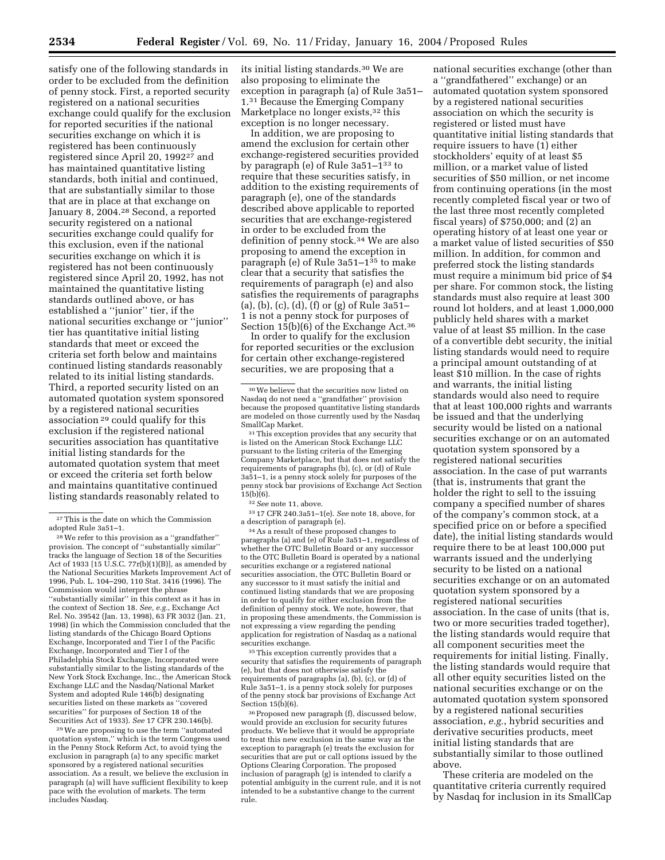satisfy one of the following standards in order to be excluded from the definition of penny stock. First, a reported security registered on a national securities exchange could qualify for the exclusion for reported securities if the national securities exchange on which it is registered has been continuously registered since April 20, 199227 and has maintained quantitative listing standards, both initial and continued, that are substantially similar to those that are in place at that exchange on January 8, 2004.28 Second, a reported security registered on a national securities exchange could qualify for this exclusion, even if the national securities exchange on which it is registered has not been continuously registered since April 20, 1992, has not maintained the quantitative listing standards outlined above, or has established a ''junior'' tier, if the national securities exchange or ''junior'' tier has quantitative initial listing standards that meet or exceed the criteria set forth below and maintains continued listing standards reasonably related to its initial listing standards. Third, a reported security listed on an automated quotation system sponsored by a registered national securities association 29 could qualify for this exclusion if the registered national securities association has quantitative initial listing standards for the automated quotation system that meet or exceed the criteria set forth below and maintains quantitative continued listing standards reasonably related to

28We refer to this provision as a ''grandfather'' provision. The concept of ''substantially similar'' tracks the language of Section 18 of the Securities Act of 1933 [15 U.S.C. 77r(b)(1)(B)], as amended by the National Securities Markets Improvement Act of 1996, Pub. L. 104–290, 110 Stat. 3416 (1996). The Commission would interpret the phrase ''substantially similar'' in this context as it has in the context of Section 18. *See, e.g.*, Exchange Act Rel. No. 39542 (Jan. 13, 1998), 63 FR 3032 (Jan. 21, 1998) (in which the Commission concluded that the listing standards of the Chicago Board Options Exchange, Incorporated and Tier I of the Pacific Exchange, Incorporated and Tier I of the Philadelphia Stock Exchange, Incorporated were substantially similar to the listing standards of the New York Stock Exchange, Inc., the American Stock Exchange LLC and the Nasdaq/National Market System and adopted Rule 146(b) designating securities listed on these markets as ''covered securities'' for purposes of Section 18 of the Securities Act of 1933). *See* 17 CFR 230.146(b).

29We are proposing to use the term ''automated quotation system,'' which is the term Congress used in the Penny Stock Reform Act, to avoid tying the exclusion in paragraph (a) to any specific market sponsored by a registered national securities association. As a result, we believe the exclusion in paragraph (a) will have sufficient flexibility to keep pace with the evolution of markets. The term includes Nasdaq.

its initial listing standards.30 We are also proposing to eliminate the exception in paragraph (a) of Rule 3a51– 1.31 Because the Emerging Company Marketplace no longer exists,<sup>32</sup> this exception is no longer necessary.

In addition, we are proposing to amend the exclusion for certain other exchange-registered securities provided by paragraph (e) of Rule 3a51–133 to require that these securities satisfy, in addition to the existing requirements of paragraph (e), one of the standards described above applicable to reported securities that are exchange-registered in order to be excluded from the definition of penny stock.34 We are also proposing to amend the exception in paragraph (e) of Rule 3a51–135 to make clear that a security that satisfies the requirements of paragraph (e) and also satisfies the requirements of paragraphs (a), (b), (c), (d), (f) or (g) of Rule 3a51– 1 is not a penny stock for purposes of Section 15(b)(6) of the Exchange Act.<sup>36</sup>

In order to qualify for the exclusion for reported securities or the exclusion for certain other exchange-registered securities, we are proposing that a

32*See* note 11, above.

33 17 CFR 240.3a51–1(e). *See* note 18, above, for a description of paragraph (e).

34As a result of these proposed changes to paragraphs (a) and (e) of Rule 3a51–1, regardless of whether the OTC Bulletin Board or any successor to the OTC Bulletin Board is operated by a national securities exchange or a registered national securities association, the OTC Bulletin Board or any successor to it must satisfy the initial and continued listing standards that we are proposing in order to qualify for either exclusion from the definition of penny stock. We note, however, that in proposing these amendments, the Commission is not expressing a view regarding the pending application for registration of Nasdaq as a national securities exchange.

<sup>35</sup>This exception currently provides that a security that satisfies the requirements of paragraph (e), but that does not otherwise satisfy the requirements of paragraphs (a), (b), (c), or (d) of Rule 3a51–1, is a penny stock solely for purposes of the penny stock bar provisions of Exchange Act Section 15(b)(6).

36Proposed new paragraph (f), discussed below, would provide an exclusion for security futures products. We believe that it would be appropriate to treat this new exclusion in the same way as the exception to paragraph (e) treats the exclusion for securities that are put or call options issued by the Options Clearing Corporation. The proposed inclusion of paragraph (g) is intended to clarify a potential ambiguity in the current rule, and it is not intended to be a substantive change to the current rule.

national securities exchange (other than a ''grandfathered'' exchange) or an automated quotation system sponsored by a registered national securities association on which the security is registered or listed must have quantitative initial listing standards that require issuers to have (1) either stockholders' equity of at least \$5 million, or a market value of listed securities of \$50 million, or net income from continuing operations (in the most recently completed fiscal year or two of the last three most recently completed fiscal years) of \$750,000; and (2) an operating history of at least one year or a market value of listed securities of \$50 million. In addition, for common and preferred stock the listing standards must require a minimum bid price of \$4 per share. For common stock, the listing standards must also require at least 300 round lot holders, and at least 1,000,000 publicly held shares with a market value of at least \$5 million. In the case of a convertible debt security, the initial listing standards would need to require a principal amount outstanding of at least \$10 million. In the case of rights and warrants, the initial listing standards would also need to require that at least 100,000 rights and warrants be issued and that the underlying security would be listed on a national securities exchange or on an automated quotation system sponsored by a registered national securities association. In the case of put warrants (that is, instruments that grant the holder the right to sell to the issuing company a specified number of shares of the company's common stock, at a specified price on or before a specified date), the initial listing standards would require there to be at least 100,000 put warrants issued and the underlying security to be listed on a national securities exchange or on an automated quotation system sponsored by a registered national securities association. In the case of units (that is, two or more securities traded together), the listing standards would require that all component securities meet the requirements for initial listing. Finally, the listing standards would require that all other equity securities listed on the national securities exchange or on the automated quotation system sponsored by a registered national securities association, *e.g.*, hybrid securities and derivative securities products, meet initial listing standards that are substantially similar to those outlined above.

These criteria are modeled on the quantitative criteria currently required by Nasdaq for inclusion in its SmallCap

<sup>27</sup>This is the date on which the Commission adopted Rule 3a51–1.

<sup>30</sup>We believe that the securities now listed on Nasdaq do not need a ''grandfather'' provision because the proposed quantitative listing standards are modeled on those currently used by the Nasdaq SmallCap Market.

<sup>31</sup>This exception provides that any security that is listed on the American Stock Exchange LLC pursuant to the listing criteria of the Emerging Company Marketplace, but that does not satisfy the requirements of paragraphs (b), (c), or (d) of Rule 3a51–1, is a penny stock solely for purposes of the penny stock bar provisions of Exchange Act Section  $15(b)(6)$ .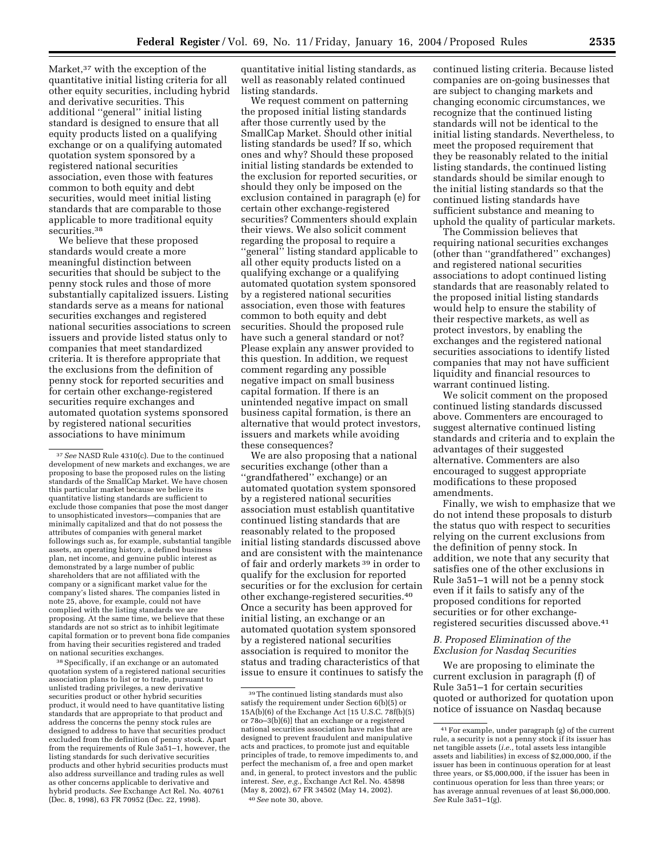Market,<sup>37</sup> with the exception of the quantitative initial listing criteria for all other equity securities, including hybrid and derivative securities. This additional ''general'' initial listing standard is designed to ensure that all equity products listed on a qualifying exchange or on a qualifying automated quotation system sponsored by a registered national securities association, even those with features common to both equity and debt securities, would meet initial listing standards that are comparable to those applicable to more traditional equity securities.<sup>38</sup>

We believe that these proposed standards would create a more meaningful distinction between securities that should be subject to the penny stock rules and those of more substantially capitalized issuers. Listing standards serve as a means for national securities exchanges and registered national securities associations to screen issuers and provide listed status only to companies that meet standardized criteria. It is therefore appropriate that the exclusions from the definition of penny stock for reported securities and for certain other exchange-registered securities require exchanges and automated quotation systems sponsored by registered national securities associations to have minimum

38Specifically, if an exchange or an automated quotation system of a registered national securities association plans to list or to trade, pursuant to unlisted trading privileges, a new derivative securities product or other hybrid securities product, it would need to have quantitative listing standards that are appropriate to that product and address the concerns the penny stock rules are designed to address to have that securities product excluded from the definition of penny stock. Apart from the requirements of Rule 3a51–1, however, the listing standards for such derivative securities products and other hybrid securities products must also address surveillance and trading rules as well as other concerns applicable to derivative and hybrid products. *See* Exchange Act Rel. No. 40761 (Dec. 8, 1998), 63 FR 70952 (Dec. 22, 1998).

quantitative initial listing standards, as well as reasonably related continued listing standards.

We request comment on patterning the proposed initial listing standards after those currently used by the SmallCap Market. Should other initial listing standards be used? If so, which ones and why? Should these proposed initial listing standards be extended to the exclusion for reported securities, or should they only be imposed on the exclusion contained in paragraph (e) for certain other exchange-registered securities? Commenters should explain their views. We also solicit comment regarding the proposal to require a ''general'' listing standard applicable to all other equity products listed on a qualifying exchange or a qualifying automated quotation system sponsored by a registered national securities association, even those with features common to both equity and debt securities. Should the proposed rule have such a general standard or not? Please explain any answer provided to this question. In addition, we request comment regarding any possible negative impact on small business capital formation. If there is an unintended negative impact on small business capital formation, is there an alternative that would protect investors, issuers and markets while avoiding these consequences?

We are also proposing that a national securities exchange (other than a ''grandfathered'' exchange) or an automated quotation system sponsored by a registered national securities association must establish quantitative continued listing standards that are reasonably related to the proposed initial listing standards discussed above and are consistent with the maintenance of fair and orderly markets 39 in order to qualify for the exclusion for reported securities or for the exclusion for certain other exchange-registered securities.40 Once a security has been approved for initial listing, an exchange or an automated quotation system sponsored by a registered national securities association is required to monitor the status and trading characteristics of that issue to ensure it continues to satisfy the continued listing criteria. Because listed companies are on-going businesses that are subject to changing markets and changing economic circumstances, we recognize that the continued listing standards will not be identical to the initial listing standards. Nevertheless, to meet the proposed requirement that they be reasonably related to the initial listing standards, the continued listing standards should be similar enough to the initial listing standards so that the continued listing standards have sufficient substance and meaning to uphold the quality of particular markets.

The Commission believes that requiring national securities exchanges (other than ''grandfathered'' exchanges) and registered national securities associations to adopt continued listing standards that are reasonably related to the proposed initial listing standards would help to ensure the stability of their respective markets, as well as protect investors, by enabling the exchanges and the registered national securities associations to identify listed companies that may not have sufficient liquidity and financial resources to warrant continued listing.

We solicit comment on the proposed continued listing standards discussed above. Commenters are encouraged to suggest alternative continued listing standards and criteria and to explain the advantages of their suggested alternative. Commenters are also encouraged to suggest appropriate modifications to these proposed amendments.

Finally, we wish to emphasize that we do not intend these proposals to disturb the status quo with respect to securities relying on the current exclusions from the definition of penny stock. In addition, we note that any security that satisfies one of the other exclusions in Rule 3a51–1 will not be a penny stock even if it fails to satisfy any of the proposed conditions for reported securities or for other exchangeregistered securities discussed above.41

# *B. Proposed Elimination of the Exclusion for Nasdaq Securities*

We are proposing to eliminate the current exclusion in paragraph (f) of Rule 3a51–1 for certain securities quoted or authorized for quotation upon notice of issuance on Nasdaq because

<sup>37</sup>*See* NASD Rule 4310(c). Due to the continued development of new markets and exchanges, we are proposing to base the proposed rules on the listing standards of the SmallCap Market. We have chosen this particular market because we believe its quantitative listing standards are sufficient to exclude those companies that pose the most danger to unsophisticated investors—companies that are minimally capitalized and that do not possess the attributes of companies with general market followings such as, for example, substantial tangible assets, an operating history, a defined business plan, net income, and genuine public interest as demonstrated by a large number of public shareholders that are not affiliated with the company or a significant market value for the company's listed shares. The companies listed in note 25, above, for example, could not have complied with the listing standards we are proposing. At the same time, we believe that these standards are not so strict as to inhibit legitimate capital formation or to prevent bona fide companies from having their securities registered and traded on national securities exchanges.

<sup>39</sup>The continued listing standards must also satisfy the requirement under Section 6(b)(5) or 15A(b)(6) of the Exchange Act [15 U.S.C. 78f(b)(5) or 78o–3(b)(6)] that an exchange or a registered national securities association have rules that are designed to prevent fraudulent and manipulative acts and practices, to promote just and equitable principles of trade, to remove impediments to, and perfect the mechanism of, a free and open market and, in general, to protect investors and the public interest. *See, e.g.*, Exchange Act Rel. No. 45898 (May 8, 2002), 67 FR 34502 (May 14, 2002). 40*See* note 30, above.

<sup>41</sup>For example, under paragraph (g) of the current rule, a security is not a penny stock if its issuer has net tangible assets (*i.e.*, total assets less intangible assets and liabilities) in excess of \$2,000,000, if the issuer has been in continuous operation for at least three years, or \$5,000,000, if the issuer has been in continuous operation for less than three years; or has average annual revenues of at least \$6,000,000. *See* Rule 3a51–1(g).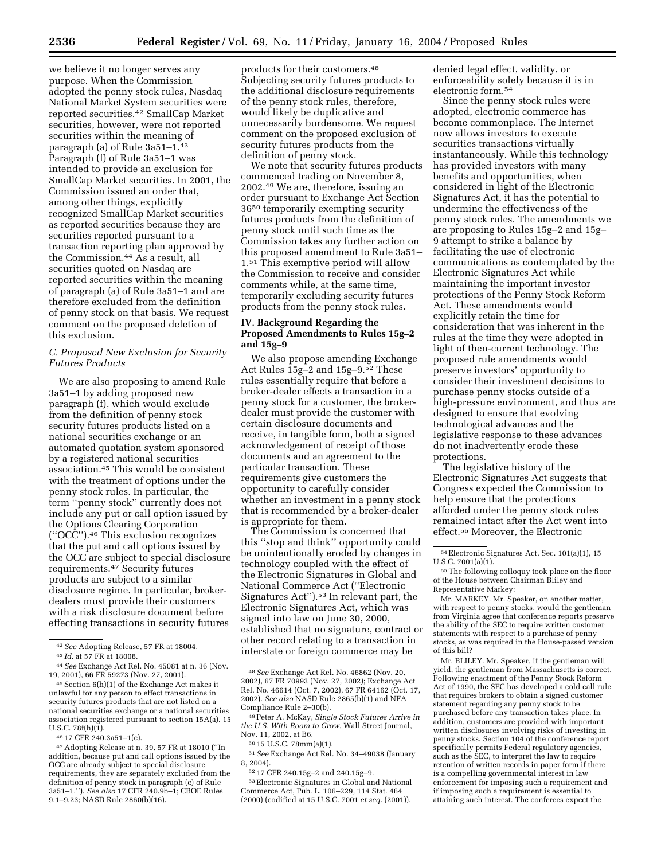we believe it no longer serves any purpose. When the Commission adopted the penny stock rules, Nasdaq National Market System securities were reported securities.42 SmallCap Market securities, however, were not reported securities within the meaning of paragraph (a) of Rule 3a51–1.43 Paragraph (f) of Rule 3a51–1 was intended to provide an exclusion for SmallCap Market securities. In 2001, the Commission issued an order that, among other things, explicitly recognized SmallCap Market securities as reported securities because they are securities reported pursuant to a transaction reporting plan approved by the Commission.44 As a result, all securities quoted on Nasdaq are reported securities within the meaning of paragraph (a) of Rule 3a51–1 and are therefore excluded from the definition of penny stock on that basis. We request comment on the proposed deletion of this exclusion.

# *C. Proposed New Exclusion for Security Futures Products*

We are also proposing to amend Rule 3a51–1 by adding proposed new paragraph (f), which would exclude from the definition of penny stock security futures products listed on a national securities exchange or an automated quotation system sponsored by a registered national securities association.45 This would be consistent with the treatment of options under the penny stock rules. In particular, the term ''penny stock'' currently does not include any put or call option issued by the Options Clearing Corporation (''OCC'').46 This exclusion recognizes that the put and call options issued by the OCC are subject to special disclosure requirements.47 Security futures products are subject to a similar disclosure regime. In particular, brokerdealers must provide their customers with a risk disclosure document before effecting transactions in security futures

products for their customers.48 Subjecting security futures products to the additional disclosure requirements of the penny stock rules, therefore, would likely be duplicative and unnecessarily burdensome. We request comment on the proposed exclusion of security futures products from the definition of penny stock.

We note that security futures products commenced trading on November 8, 2002.49 We are, therefore, issuing an order pursuant to Exchange Act Section 3650 temporarily exempting security futures products from the definition of penny stock until such time as the Commission takes any further action on this proposed amendment to Rule 3a51– 1.51 This exemptive period will allow the Commission to receive and consider comments while, at the same time, temporarily excluding security futures products from the penny stock rules.

# **IV. Background Regarding the Proposed Amendments to Rules 15g–2 and 15g–9**

We also propose amending Exchange Act Rules 15g–2 and 15g–9.52 These rules essentially require that before a broker-dealer effects a transaction in a penny stock for a customer, the brokerdealer must provide the customer with certain disclosure documents and receive, in tangible form, both a signed acknowledgement of receipt of those documents and an agreement to the particular transaction. These requirements give customers the opportunity to carefully consider whether an investment in a penny stock that is recommended by a broker-dealer is appropriate for them.

The Commission is concerned that this ''stop and think'' opportunity could be unintentionally eroded by changes in technology coupled with the effect of the Electronic Signatures in Global and National Commerce Act (''Electronic Signatures Act'').53 In relevant part, the Electronic Signatures Act, which was signed into law on June 30, 2000, established that no signature, contract or other record relating to a transaction in interstate or foreign commerce may be

denied legal effect, validity, or enforceability solely because it is in electronic form.54

Since the penny stock rules were adopted, electronic commerce has become commonplace. The Internet now allows investors to execute securities transactions virtually instantaneously. While this technology has provided investors with many benefits and opportunities, when considered in light of the Electronic Signatures Act, it has the potential to undermine the effectiveness of the penny stock rules. The amendments we are proposing to Rules 15g–2 and 15g– 9 attempt to strike a balance by facilitating the use of electronic communications as contemplated by the Electronic Signatures Act while maintaining the important investor protections of the Penny Stock Reform Act. These amendments would explicitly retain the time for consideration that was inherent in the rules at the time they were adopted in light of then-current technology. The proposed rule amendments would preserve investors' opportunity to consider their investment decisions to purchase penny stocks outside of a high-pressure environment, and thus are designed to ensure that evolving technological advances and the legislative response to these advances do not inadvertently erode these protections.

The legislative history of the Electronic Signatures Act suggests that Congress expected the Commission to help ensure that the protections afforded under the penny stock rules remained intact after the Act went into effect.55 Moreover, the Electronic

Mr. MARKEY. Mr. Speaker, on another matter, with respect to penny stocks, would the gentleman from Virginia agree that conference reports preserve the ability of the SEC to require written customer statements with respect to a purchase of penny stocks, as was required in the House-passed version of this bill?

Mr. BLILEY. Mr. Speaker, if the gentleman will yield, the gentleman from Massachusetts is correct. Following enactment of the Penny Stock Reform Act of 1990, the SEC has developed a cold call rule that requires brokers to obtain a signed customer statement regarding any penny stock to be purchased before any transaction takes place. In addition, customers are provided with important written disclosures involving risks of investing in penny stocks. Section 104 of the conference report specifically permits Federal regulatory agencies, such as the SEC, to interpret the law to require retention of written records in paper form if there is a compelling governmental interest in law enforcement for imposing such a requirement and if imposing such a requirement is essential to attaining such interest. The conferees expect the

<sup>42</sup>*See* Adopting Release, 57 FR at 18004.

<sup>43</sup> *Id.* at 57 FR at 18008.

<sup>44</sup>*See* Exchange Act Rel. No. 45081 at n. 36 (Nov. 19, 2001), 66 FR 59273 (Nov. 27, 2001).

<sup>45</sup>Section 6(h)(1) of the Exchange Act makes it unlawful for any person to effect transactions in security futures products that are not listed on a national securities exchange or a national securities association registered pursuant to section 15A(a). 15 U.S.C. 78f(h)(1).

<sup>46</sup> 17 CFR 240.3a51–1(c).

<sup>47</sup>Adopting Release at n. 39, 57 FR at 18010 (''In addition, because put and call options issued by the OCC are already subject to special disclosure requirements, they are separately excluded from the definition of penny stock in paragraph (c) of Rule 3a51–1.''). *See also* 17 CFR 240.9b–1; CBOE Rules 9.1–9.23; NASD Rule 2860(b)(16).

<sup>48</sup>*See* Exchange Act Rel. No. 46862 (Nov. 20, 2002), 67 FR 70993 (Nov. 27, 2002); Exchange Act Rel. No. 46614 (Oct. 7, 2002), 67 FR 64162 (Oct. 17, 2002). *See also* NASD Rule 2865(b)(1) and NFA Compliance Rule 2–30(b).

<sup>49</sup>Peter A. McKay, *Single Stock Futures Arrive in the U.S. With Room to Grow*, Wall Street Journal, Nov. 11, 2002, at B6.

<sup>50</sup> 15 U.S.C. 78mm(a)(1).

<sup>51</sup>*See* Exchange Act Rel. No. 34–49038 (January 8, 2004).

<sup>52</sup> 17 CFR 240.15g–2 and 240.15g–9.

<sup>53</sup>Electronic Signatures in Global and National Commerce Act, Pub. L. 106–229, 114 Stat. 464 (2000) (codified at 15 U.S.C. 7001 *et seq.* (2001)).

<sup>54</sup>Electronic Signatures Act, Sec. 101(a)(1), 15 U.S.C. 7001(a)(1).

<sup>55</sup>The following colloquy took place on the floor of the House between Chairman Bliley and Representative Markey: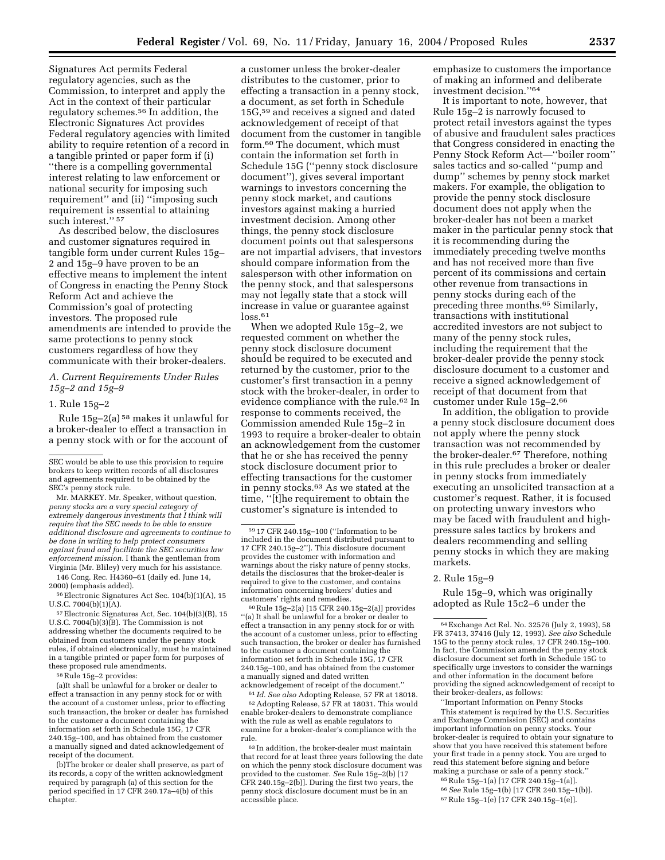Signatures Act permits Federal regulatory agencies, such as the Commission, to interpret and apply the Act in the context of their particular regulatory schemes.56 In addition, the Electronic Signatures Act provides Federal regulatory agencies with limited ability to require retention of a record in a tangible printed or paper form if (i) ''there is a compelling governmental interest relating to law enforcement or national security for imposing such requirement'' and (ii) ''imposing such requirement is essential to attaining such interest."<sup>57</sup>

As described below, the disclosures and customer signatures required in tangible form under current Rules 15g– 2 and 15g–9 have proven to be an effective means to implement the intent of Congress in enacting the Penny Stock Reform Act and achieve the Commission's goal of protecting investors. The proposed rule amendments are intended to provide the same protections to penny stock customers regardless of how they communicate with their broker-dealers.

# *A. Current Requirements Under Rules 15g–2 and 15g–9*

### 1. Rule 15g–2

Rule 15g–2(a) 58 makes it unlawful for a broker-dealer to effect a transaction in a penny stock with or for the account of

Mr. MARKEY. Mr. Speaker, without question, *penny stocks are a very special category of extremely dangerous investments that I think will require that the SEC needs to be able to ensure additional disclosure and agreements to continue to be done in writing to help protect consumers against fraud and facilitate the SEC securities law enforcement mission.* I thank the gentleman from Virginia (Mr. Bliley) very much for his assistance.

146 Cong. Rec. H4360–61 (daily ed. June 14, 2000) (emphasis added).

56Electronic Signatures Act Sec. 104(b)(1)(A), 15 U.S.C. 7004(b)(1)(A).

57Electronic Signatures Act, Sec. 104(b)(3)(B), 15 U.S.C. 7004(b)(3)(B). The Commission is not addressing whether the documents required to be obtained from customers under the penny stock rules, if obtained electronically, must be maintained in a tangible printed or paper form for purposes of these proposed rule amendments.

58Rule 15g–2 provides:

(a)It shall be unlawful for a broker or dealer to effect a transaction in any penny stock for or with the account of a customer unless, prior to effecting such transaction, the broker or dealer has furnished to the customer a document containing the information set forth in Schedule 15G, 17 CFR 240.15g–100, and has obtained from the customer a manually signed and dated acknowledgement of receipt of the document.

(b)The broker or dealer shall preserve, as part of its records, a copy of the written acknowledgment required by paragraph (a) of this section for the period specified in 17 CFR 240.17a–4(b) of this chapter.

a customer unless the broker-dealer distributes to the customer, prior to effecting a transaction in a penny stock, a document, as set forth in Schedule 15G,59 and receives a signed and dated acknowledgement of receipt of that document from the customer in tangible form.60 The document, which must contain the information set forth in Schedule 15G (''penny stock disclosure document''), gives several important warnings to investors concerning the penny stock market, and cautions investors against making a hurried investment decision. Among other things, the penny stock disclosure document points out that salespersons are not impartial advisers, that investors should compare information from the salesperson with other information on the penny stock, and that salespersons may not legally state that a stock will increase in value or guarantee against  $loss.61$ 

When we adopted Rule 15g–2, we requested comment on whether the penny stock disclosure document should be required to be executed and returned by the customer, prior to the customer's first transaction in a penny stock with the broker-dealer, in order to evidence compliance with the rule.62 In response to comments received, the Commission amended Rule 15g–2 in 1993 to require a broker-dealer to obtain an acknowledgement from the customer that he or she has received the penny stock disclosure document prior to effecting transactions for the customer in penny stocks.63 As we stated at the time, ''[t]he requirement to obtain the customer's signature is intended to

60Rule 15g–2(a) [15 CFR 240.15g–2(a)] provides ''(a) It shall be unlawful for a broker or dealer to effect a transaction in any penny stock for or with the account of a customer unless, prior to effecting such transaction, the broker or dealer has furnished to the customer a document containing the information set forth in Schedule 15G, 17 CFR 240.15g–100, and has obtained from the customer a manually signed and dated written acknowledgement of receipt of the document.''

61 *Id. See also* Adopting Release, 57 FR at 18018. 62Adopting Release, 57 FR at 18031. This would enable broker-dealers to demonstrate compliance with the rule as well as enable regulators to examine for a broker-dealer's compliance with the rule.

63 In addition, the broker-dealer must maintain that record for at least three years following the date on which the penny stock disclosure document was provided to the customer. *See* Rule 15g–2(b) [17 CFR 240.15g–2(b)]. During the first two years, the penny stock disclosure document must be in an accessible place.

emphasize to customers the importance of making an informed and deliberate investment decision.''64

It is important to note, however, that Rule 15g–2 is narrowly focused to protect retail investors against the types of abusive and fraudulent sales practices that Congress considered in enacting the Penny Stock Reform Act—''boiler room'' sales tactics and so-called ''pump and dump'' schemes by penny stock market makers. For example, the obligation to provide the penny stock disclosure document does not apply when the broker-dealer has not been a market maker in the particular penny stock that it is recommending during the immediately preceding twelve months and has not received more than five percent of its commissions and certain other revenue from transactions in penny stocks during each of the preceding three months.65 Similarly, transactions with institutional accredited investors are not subject to many of the penny stock rules, including the requirement that the broker-dealer provide the penny stock disclosure document to a customer and receive a signed acknowledgement of receipt of that document from that customer under Rule 15g–2.66

In addition, the obligation to provide a penny stock disclosure document does not apply where the penny stock transaction was not recommended by the broker-dealer.67 Therefore, nothing in this rule precludes a broker or dealer in penny stocks from immediately executing an unsolicited transaction at a customer's request. Rather, it is focused on protecting unwary investors who may be faced with fraudulent and highpressure sales tactics by brokers and dealers recommending and selling penny stocks in which they are making markets.

#### 2. Rule 15g–9

Rule 15g–9, which was originally adopted as Rule 15c2–6 under the

''Important Information on Penny Stocks This statement is required by the U.S. Securities and Exchange Commission (SEC) and contains important information on penny stocks. Your broker-dealer is required to obtain your signature to show that you have received this statement before your first trade in a penny stock. You are urged to read this statement before signing and before making a purchase or sale of a penny stock.''

65Rule 15g–1(a) [17 CFR 240.15g–1(a)]. 66*See* Rule 15g–1(b) [17 CFR 240.15g–1(b)].

67Rule 15g–1(e) [17 CFR 240.15g–1(e)].

SEC would be able to use this provision to require brokers to keep written records of all disclosures and agreements required to be obtained by the SEC's penny stock rule.

<sup>59</sup> 17 CFR 240.15g–100 (''Information to be included in the document distributed pursuant to 17 CFR 240.15g–2''). This disclosure document provides the customer with information and warnings about the risky nature of penny stocks, details the disclosures that the broker-dealer is required to give to the customer, and contains information concerning brokers' duties and customers' rights and remedies.

<sup>64</sup>Exchange Act Rel. No. 32576 (July 2, 1993), 58 FR 37413, 37416 (July 12, 1993). *See also* Schedule 15G to the penny stock rules, 17 CFR 240.15g–100. In fact, the Commission amended the penny stock disclosure document set forth in Schedule 15G to specifically urge investors to consider the warnings and other information in the document before providing the signed acknowledgement of receipt to their broker-dealers, as follows: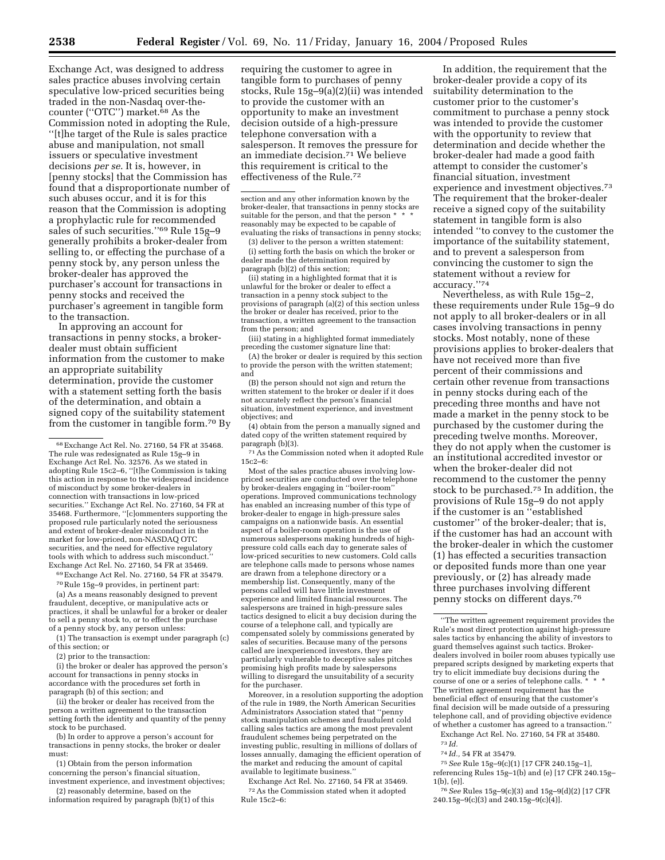Exchange Act, was designed to address sales practice abuses involving certain speculative low-priced securities being traded in the non-Nasdaq over-thecounter (''OTC'') market.68 As the Commission noted in adopting the Rule, ''[t]he target of the Rule is sales practice abuse and manipulation, not small issuers or speculative investment decisions *per se*. It is, however, in [penny stocks] that the Commission has found that a disproportionate number of such abuses occur, and it is for this reason that the Commission is adopting a prophylactic rule for recommended sales of such securities."<sup>69</sup> Rule 15g-9 generally prohibits a broker-dealer from selling to, or effecting the purchase of a penny stock by, any person unless the broker-dealer has approved the purchaser's account for transactions in penny stocks and received the purchaser's agreement in tangible form to the transaction.

In approving an account for transactions in penny stocks, a brokerdealer must obtain sufficient information from the customer to make an appropriate suitability determination, provide the customer with a statement setting forth the basis of the determination, and obtain a signed copy of the suitability statement from the customer in tangible form.70 By

69Exchange Act Rel. No. 27160, 54 FR at 35479.

70Rule 15g–9 provides, in pertinent part: (a) As a means reasonably designed to prevent fraudulent, deceptive, or manipulative acts or practices, it shall be unlawful for a broker or dealer to sell a penny stock to, or to effect the purchase of a penny stock by, any person unless:

(1) The transaction is exempt under paragraph (c) of this section; or

(2) prior to the transaction:

(i) the broker or dealer has approved the person's account for transactions in penny stocks in accordance with the procedures set forth in paragraph (b) of this section; and

(ii) the broker or dealer has received from the person a written agreement to the transaction setting forth the identity and quantity of the penny stock to be purchased.

(b) In order to approve a person's account for transactions in penny stocks, the broker or dealer must:

(1) Obtain from the person information concerning the person's financial situation, investment experience, and investment objectives;

(2) reasonably determine, based on the information required by paragraph (b)(1) of this requiring the customer to agree in tangible form to purchases of penny stocks, Rule 15g–9(a)(2)(ii) was intended to provide the customer with an opportunity to make an investment decision outside of a high-pressure telephone conversation with a salesperson. It removes the pressure for an immediate decision.71 We believe this requirement is critical to the effectiveness of the Rule.72

section and any other information known by the broker-dealer, that transactions in penny stocks are suitable for the person, and that the person \* reasonably may be expected to be capable of evaluating the risks of transactions in penny stocks;

(3) deliver to the person a written statement: (i) setting forth the basis on which the broker or dealer made the determination required by paragraph (b)(2) of this section;

(ii) stating in a highlighted format that it is unlawful for the broker or dealer to effect a transaction in a penny stock subject to the provisions of paragraph (a)(2) of this section unless the broker or dealer has received, prior to the transaction, a written agreement to the transaction from the person; and

(iii) stating in a highlighted format immediately preceding the customer signature line that:

(A) the broker or dealer is required by this section to provide the person with the written statement; and

(B) the person should not sign and return the written statement to the broker or dealer if it does not accurately reflect the person's financial situation, investment experience, and investment objectives; and

(4) obtain from the person a manually signed and dated copy of the written statement required by paragraph (b)(3).

71As the Commission noted when it adopted Rule 15c2–6:

Most of the sales practice abuses involving lowpriced securities are conducted over the telephone by broker-dealers engaging in ''boiler-room'' operations. Improved communications technology has enabled an increasing number of this type of broker-dealer to engage in high-pressure sales campaigns on a nationwide basis. An essential aspect of a boiler-room operation is the use of numerous salespersons making hundreds of highpressure cold calls each day to generate sales of low-priced securities to new customers. Cold calls are telephone calls made to persons whose names are drawn from a telephone directory or a membership list. Consequently, many of the persons called will have little investment experience and limited financial resources. The salespersons are trained in high-pressure sales tactics designed to elicit a buy decision during the course of a telephone call, and typically are compensated solely by commissions generated by sales of securities. Because many of the persons called are inexperienced investors, they are particularly vulnerable to deceptive sales pitches promising high profits made by salespersons willing to disregard the unsuitability of a security for the purchaser.

Moreover, in a resolution supporting the adoption of the rule in 1989, the North American Securities Administrators Association stated that ''penny stock manipulation schemes and fraudulent cold calling sales tactics are among the most prevalent fraudulent schemes being perpetrated on the investing public, resulting in millions of dollars of losses annually, damaging the efficient operation of the market and reducing the amount of capital available to legitimate business.''

Exchange Act Rel. No. 27160, 54 FR at 35469. 72As the Commission stated when it adopted Rule 15c2–6:

In addition, the requirement that the broker-dealer provide a copy of its suitability determination to the customer prior to the customer's commitment to purchase a penny stock was intended to provide the customer with the opportunity to review that determination and decide whether the broker-dealer had made a good faith attempt to consider the customer's financial situation, investment experience and investment objectives.73 The requirement that the broker-dealer receive a signed copy of the suitability statement in tangible form is also intended ''to convey to the customer the importance of the suitability statement, and to prevent a salesperson from convincing the customer to sign the statement without a review for accuracy.''74

Nevertheless, as with Rule 15g–2, these requirements under Rule 15g–9 do not apply to all broker-dealers or in all cases involving transactions in penny stocks. Most notably, none of these provisions applies to broker-dealers that have not received more than five percent of their commissions and certain other revenue from transactions in penny stocks during each of the preceding three months and have not made a market in the penny stock to be purchased by the customer during the preceding twelve months. Moreover, they do not apply when the customer is an institutional accredited investor or when the broker-dealer did not recommend to the customer the penny stock to be purchased.75 In addition, the provisions of Rule 15g–9 do not apply if the customer is an ''established customer'' of the broker-dealer; that is, if the customer has had an account with the broker-dealer in which the customer (1) has effected a securities transaction or deposited funds more than one year previously, or (2) has already made three purchases involving different penny stocks on different days.76

Exchange Act Rel. No. 27160, 54 FR at 35480. 73 *Id.*

74 *Id.,* 54 FR at 35479.

76*See* Rules 15g–9(c)(3) and 15g–9(d)(2) [17 CFR 240.15g–9(c)(3) and 240.15g–9(c)(4)].

<sup>68</sup>Exchange Act Rel. No. 27160, 54 FR at 35468. The rule was redesignated as Rule 15g–9 in Exchange Act Rel. No. 32576. As we stated in adopting Rule 15c2–6, ''[t]he Commission is taking this action in response to the widespread incidence of misconduct by some broker-dealers in connection with transactions in low-priced securities.'' Exchange Act Rel. No. 27160, 54 FR at 35468. Furthermore, ''[c]ommenters supporting the proposed rule particularly noted the seriousness and extent of broker-dealer misconduct in the market for low-priced, non-NASDAQ OTC securities, and the need for effective regulatory tools with which to address such misconduct. Exchange Act Rel. No. 27160, 54 FR at 35469.

<sup>&#</sup>x27;'The written agreement requirement provides the Rule's most direct protection against high-pressure sales tactics by enhancing the ability of investors to guard themselves against such tactics. Brokerdealers involved in boiler room abuses typically use prepared scripts designed by marketing experts that try to elicit immediate buy decisions during the course of one or a series of telephone calls. \* The written agreement requirement has the beneficial effect of ensuring that the customer's final decision will be made outside of a pressuring telephone call, and of providing objective evidence of whether a customer has agreed to a transaction.''

<sup>75</sup>*See* Rule 15g–9(c)(1) [17 CFR 240.15g–1], referencing Rules 15g–1(b) and (e) [17 CFR 240.15g– 1(b), (e)].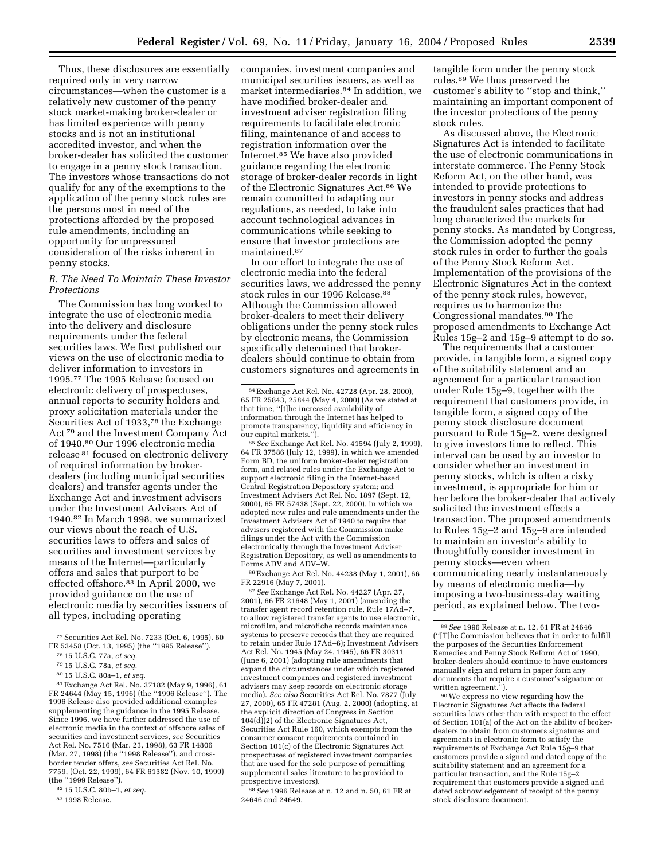Thus, these disclosures are essentially required only in very narrow circumstances—when the customer is a relatively new customer of the penny stock market-making broker-dealer or has limited experience with penny stocks and is not an institutional accredited investor, and when the broker-dealer has solicited the customer to engage in a penny stock transaction. The investors whose transactions do not qualify for any of the exemptions to the application of the penny stock rules are the persons most in need of the protections afforded by the proposed rule amendments, including an opportunity for unpressured consideration of the risks inherent in penny stocks.

# *B. The Need To Maintain These Investor Protections*

The Commission has long worked to integrate the use of electronic media into the delivery and disclosure requirements under the federal securities laws. We first published our views on the use of electronic media to deliver information to investors in 1995.77 The 1995 Release focused on electronic delivery of prospectuses, annual reports to security holders and proxy solicitation materials under the Securities Act of 1933,<sup>78</sup> the Exchange Act 79 and the Investment Company Act of 1940.80 Our 1996 electronic media release 81 focused on electronic delivery of required information by brokerdealers (including municipal securities dealers) and transfer agents under the Exchange Act and investment advisers under the Investment Advisers Act of 1940.82 In March 1998, we summarized our views about the reach of U.S. securities laws to offers and sales of securities and investment services by means of the Internet—particularly offers and sales that purport to be effected offshore.83 In April 2000, we provided guidance on the use of electronic media by securities issuers of all types, including operating

companies, investment companies and municipal securities issuers, as well as market intermediaries.84 In addition, we have modified broker-dealer and investment adviser registration filing requirements to facilitate electronic filing, maintenance of and access to registration information over the Internet.85 We have also provided guidance regarding the electronic storage of broker-dealer records in light of the Electronic Signatures Act.86 We remain committed to adapting our regulations, as needed, to take into account technological advances in communications while seeking to ensure that investor protections are maintained.87

In our effort to integrate the use of electronic media into the federal securities laws, we addressed the penny stock rules in our 1996 Release.<sup>88</sup> Although the Commission allowed broker-dealers to meet their delivery obligations under the penny stock rules by electronic means, the Commission specifically determined that brokerdealers should continue to obtain from customers signatures and agreements in

85*See* Exchange Act Rel. No. 41594 (July 2, 1999), 64 FR 37586 (July 12, 1999), in which we amended Form BD, the uniform broker-dealer registration form, and related rules under the Exchange Act to support electronic filing in the Internet-based Central Registration Depository system; and Investment Advisers Act Rel. No. 1897 (Sept. 12, 2000), 65 FR 57438 (Sept. 22, 2000), in which we adopted new rules and rule amendments under the Investment Advisers Act of 1940 to require that advisers registered with the Commission make filings under the Act with the Commission electronically through the Investment Adviser Registration Depository, as well as amendments to Forms ADV and ADV–W.

86Exchange Act Rel. No. 44238 (May 1, 2001), 66 FR 22916 (May 7, 2001).

87*See* Exchange Act Rel. No. 44227 (Apr. 27, 2001), 66 FR 21648 (May 1, 2001) (amending the transfer agent record retention rule, Rule 17Ad–7, to allow registered transfer agents to use electronic, microfilm, and microfiche records maintenance systems to preserve records that they are required to retain under Rule 17Ad–6); Investment Advisers Act Rel. No. 1945 (May 24, 1945), 66 FR 30311 (June 6, 2001) (adopting rule amendments that expand the circumstances under which registered investment companies and registered investment advisers may keep records on electronic storage media). *See also* Securities Act Rel. No. 7877 (July 27, 2000), 65 FR 47281 (Aug. 2, 2000) (adopting, at the explicit direction of Congress in Section 104(d)(2) of the Electronic Signatures Act, Securities Act Rule 160, which exempts from the consumer consent requirements contained in Section 101(c) of the Electronic Signatures Act prospectuses of registered investment companies that are used for the sole purpose of permitting supplemental sales literature to be provided to prospective investors).

88*See* 1996 Release at n. 12 and n. 50, 61 FR at 24646 and 24649.

tangible form under the penny stock rules.89 We thus preserved the customer's ability to ''stop and think,'' maintaining an important component of the investor protections of the penny stock rules.

As discussed above, the Electronic Signatures Act is intended to facilitate the use of electronic communications in interstate commerce. The Penny Stock Reform Act, on the other hand, was intended to provide protections to investors in penny stocks and address the fraudulent sales practices that had long characterized the markets for penny stocks. As mandated by Congress, the Commission adopted the penny stock rules in order to further the goals of the Penny Stock Reform Act. Implementation of the provisions of the Electronic Signatures Act in the context of the penny stock rules, however, requires us to harmonize the Congressional mandates.90 The proposed amendments to Exchange Act Rules 15g–2 and 15g–9 attempt to do so.

The requirements that a customer provide, in tangible form, a signed copy of the suitability statement and an agreement for a particular transaction under Rule 15g–9, together with the requirement that customers provide, in tangible form, a signed copy of the penny stock disclosure document pursuant to Rule 15g–2, were designed to give investors time to reflect. This interval can be used by an investor to consider whether an investment in penny stocks, which is often a risky investment, is appropriate for him or her before the broker-dealer that actively solicited the investment effects a transaction. The proposed amendments to Rules 15g–2 and 15g–9 are intended to maintain an investor's ability to thoughtfully consider investment in penny stocks—even when communicating nearly instantaneously by means of electronic media—by imposing a two-business-day waiting period, as explained below. The two-

90We express no view regarding how the Electronic Signatures Act affects the federal securities laws other than with respect to the effect of Section 101(a) of the Act on the ability of brokerdealers to obtain from customers signatures and agreements in electronic form to satisfy the requirements of Exchange Act Rule 15g–9 that customers provide a signed and dated copy of the suitability statement and an agreement for a particular transaction, and the Rule 15g–2 requirement that customers provide a signed and dated acknowledgement of receipt of the penny stock disclosure document.

<sup>77</sup>Securities Act Rel. No. 7233 (Oct. 6, 1995), 60 FR 53458 (Oct. 13, 1995) (the ''1995 Release''). 78 15 U.S.C. 77a, *et seq.*

<sup>79</sup> 15 U.S.C. 78a, *et seq.*

<sup>80</sup> 15 U.S.C. 80a–1, *et seq.*

<sup>81</sup>Exchange Act Rel. No. 37182 (May 9, 1996), 61 FR 24644 (May 15, 1996) (the ''1996 Release''). The 1996 Release also provided additional examples supplementing the guidance in the 1995 Release. Since 1996, we have further addressed the use of electronic media in the context of offshore sales of securities and investment services, *see* Securities Act Rel. No. 7516 (Mar. 23, 1998), 63 FR 14806 (Mar. 27, 1998) (the ''1998 Release''), and crossborder tender offers, *see* Securities Act Rel. No. 7759, (Oct. 22, 1999), 64 FR 61382 (Nov. 10, 1999) (the ''1999 Release'').

<sup>82</sup> 15 U.S.C. 80b–1, *et seq.*

<sup>83</sup> 1998 Release.

<sup>84</sup>Exchange Act Rel. No. 42728 (Apr. 28, 2000), 65 FR 25843, 25844 (May 4, 2000) (As we stated at that time, ''[t]he increased availability of information through the Internet has helped to promote transparency, liquidity and efficiency in our capital markets.'').

<sup>89</sup>*See* 1996 Release at n. 12, 61 FR at 24646 (''[T]he Commission believes that in order to fulfill the purposes of the Securities Enforcement Remedies and Penny Stock Reform Act of 1990, broker-dealers should continue to have customers manually sign and return in paper form any documents that require a customer's signature or written agreement.'').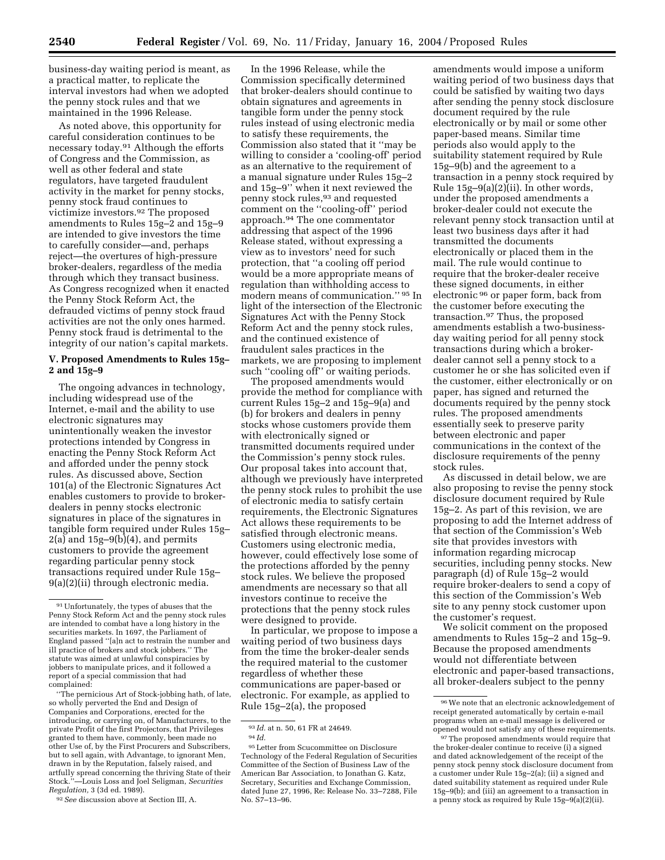business-day waiting period is meant, as a practical matter, to replicate the interval investors had when we adopted the penny stock rules and that we maintained in the 1996 Release.

As noted above, this opportunity for careful consideration continues to be necessary today.91 Although the efforts of Congress and the Commission, as well as other federal and state regulators, have targeted fraudulent activity in the market for penny stocks, penny stock fraud continues to victimize investors.92 The proposed amendments to Rules 15g–2 and 15g–9 are intended to give investors the time to carefully consider—and, perhaps reject—the overtures of high-pressure broker-dealers, regardless of the media through which they transact business. As Congress recognized when it enacted the Penny Stock Reform Act, the defrauded victims of penny stock fraud activities are not the only ones harmed. Penny stock fraud is detrimental to the integrity of our nation's capital markets.

# **V. Proposed Amendments to Rules 15g– 2 and 15g–9**

The ongoing advances in technology, including widespread use of the Internet, e-mail and the ability to use electronic signatures may unintentionally weaken the investor protections intended by Congress in enacting the Penny Stock Reform Act and afforded under the penny stock rules. As discussed above, Section 101(a) of the Electronic Signatures Act enables customers to provide to brokerdealers in penny stocks electronic signatures in place of the signatures in tangible form required under Rules 15g– 2(a) and 15g–9(b)(4), and permits customers to provide the agreement regarding particular penny stock transactions required under Rule 15g– 9(a)(2)(ii) through electronic media.

''The pernicious Art of Stock-jobbing hath, of late, so wholly perverted the End and Design of Companies and Corporations, erected for the introducing, or carrying on, of Manufacturers, to the private Profit of the first Projectors, that Privileges granted to them have, commonly, been made no other Use of, by the First Procurers and Subscribers, but to sell again, with Advantage, to ignorant Men, drawn in by the Reputation, falsely raised, and artfully spread concerning the thriving State of their Stock.''—Louis Loss and Joel Seligman, *Securities Regulation,* 3 (3d ed. 1989).

92*See* discussion above at Section III, A.

In the 1996 Release, while the Commission specifically determined that broker-dealers should continue to obtain signatures and agreements in tangible form under the penny stock rules instead of using electronic media to satisfy these requirements, the Commission also stated that it ''may be willing to consider a 'cooling-off' period as an alternative to the requirement of a manual signature under Rules 15g–2 and 15g–9'' when it next reviewed the penny stock rules,93 and requested comment on the ''cooling-off'' period approach.94 The one commentator addressing that aspect of the 1996 Release stated, without expressing a view as to investors' need for such protection, that ''a cooling off period would be a more appropriate means of regulation than withholding access to modern means of communication.'' 95 In light of the intersection of the Electronic Signatures Act with the Penny Stock Reform Act and the penny stock rules, and the continued existence of fraudulent sales practices in the markets, we are proposing to implement such "cooling off" or waiting periods.

The proposed amendments would provide the method for compliance with current Rules 15g–2 and 15g–9(a) and (b) for brokers and dealers in penny stocks whose customers provide them with electronically signed or transmitted documents required under the Commission's penny stock rules. Our proposal takes into account that, although we previously have interpreted the penny stock rules to prohibit the use of electronic media to satisfy certain requirements, the Electronic Signatures Act allows these requirements to be satisfied through electronic means. Customers using electronic media, however, could effectively lose some of the protections afforded by the penny stock rules. We believe the proposed amendments are necessary so that all investors continue to receive the protections that the penny stock rules were designed to provide.

In particular, we propose to impose a waiting period of two business days from the time the broker-dealer sends the required material to the customer regardless of whether these communications are paper-based or electronic. For example, as applied to Rule 15g–2(a), the proposed

95Letter from Scucommittee on Disclosure Technology of the Federal Regulation of Securities Committee of the Section of Business Law of the American Bar Association, to Jonathan G. Katz, Secretary, Securities and Exchange Commission, dated June 27, 1996, Re: Release No. 33–7288, File No. S7–13–96.

amendments would impose a uniform waiting period of two business days that could be satisfied by waiting two days after sending the penny stock disclosure document required by the rule electronically or by mail or some other paper-based means. Similar time periods also would apply to the suitability statement required by Rule 15g–9(b) and the agreement to a transaction in a penny stock required by Rule 15g–9(a)(2)(ii). In other words, under the proposed amendments a broker-dealer could not execute the relevant penny stock transaction until at least two business days after it had transmitted the documents electronically or placed them in the mail. The rule would continue to require that the broker-dealer receive these signed documents, in either electronic 96 or paper form, back from the customer before executing the transaction.97 Thus, the proposed amendments establish a two-businessday waiting period for all penny stock transactions during which a brokerdealer cannot sell a penny stock to a customer he or she has solicited even if the customer, either electronically or on paper, has signed and returned the documents required by the penny stock rules. The proposed amendments essentially seek to preserve parity between electronic and paper communications in the context of the disclosure requirements of the penny stock rules.

As discussed in detail below, we are also proposing to revise the penny stock disclosure document required by Rule 15g–2. As part of this revision, we are proposing to add the Internet address of that section of the Commission's Web site that provides investors with information regarding microcap securities, including penny stocks. New paragraph (d) of Rule 15g–2 would require broker-dealers to send a copy of this section of the Commission's Web site to any penny stock customer upon the customer's request.

We solicit comment on the proposed amendments to Rules 15g–2 and 15g–9. Because the proposed amendments would not differentiate between electronic and paper-based transactions, all broker-dealers subject to the penny

 $\ensuremath{^{91}}$  Unfortunately, the types of abuses that the Penny Stock Reform Act and the penny stock rules are intended to combat have a long history in the securities markets. In 1697, the Parliament of England passed ''[a]n act to restrain the number and ill practice of brokers and stock jobbers.'' The statute was aimed at unlawful conspiracies by jobbers to manipulate prices, and it followed a report of a special commission that had complained:

<sup>93</sup> *Id.* at n. 50, 61 FR at 24649. 94 *Id.*

<sup>96</sup>We note that an electronic acknowledgement of receipt generated automatically by certain e-mail programs when an e-mail message is delivered or opened would not satisfy any of these requirements.

<sup>&</sup>lt;sup>97</sup>The proposed amendments would require that the broker-dealer continue to receive (i) a signed and dated acknowledgement of the receipt of the penny stock penny stock disclosure document from a customer under Rule 15g–2(a); (ii) a signed and dated suitability statement as required under Rule 15g–9(b); and (iii) an agreement to a transaction in a penny stock as required by Rule 15g–9(a)(2)(ii).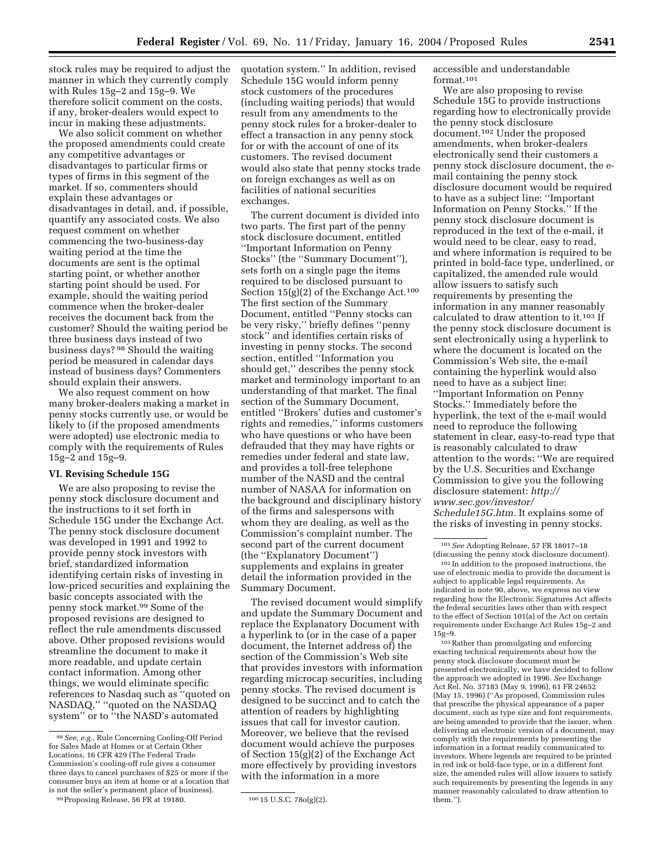stock rules may be required to adjust the manner in which they currently comply with Rules 15g–2 and 15g–9. We therefore solicit comment on the costs, if any, broker-dealers would expect to incur in making these adjustments.

We also solicit comment on whether the proposed amendments could create any competitive advantages or disadvantages to particular firms or types of firms in this segment of the market. If so, commenters should explain these advantages or disadvantages in detail, and, if possible, quantify any associated costs. We also request comment on whether commencing the two-business-day waiting period at the time the documents are sent is the optimal starting point, or whether another starting point should be used. For example, should the waiting period commence when the broker-dealer receives the document back from the customer? Should the waiting period be three business days instead of two business days? 98 Should the waiting period be measured in calendar days instead of business days? Commenters should explain their answers.

We also request comment on how many broker-dealers making a market in penny stocks currently use, or would be likely to (if the proposed amendments were adopted) use electronic media to comply with the requirements of Rules 15g–2 and 15g–9.

# **VI. Revising Schedule 15G**

We are also proposing to revise the penny stock disclosure document and the instructions to it set forth in Schedule 15G under the Exchange Act. The penny stock disclosure document was developed in 1991 and 1992 to provide penny stock investors with brief, standardized information identifying certain risks of investing in low-priced securities and explaining the basic concepts associated with the penny stock market.99 Some of the proposed revisions are designed to reflect the rule amendments discussed above. Other proposed revisions would streamline the document to make it more readable, and update certain contact information. Among other things, we would eliminate specific references to Nasdaq such as ''quoted on NASDAQ,'' ''quoted on the NASDAQ system'' or to ''the NASD's automated

quotation system.'' In addition, revised Schedule 15G would inform penny stock customers of the procedures (including waiting periods) that would result from any amendments to the penny stock rules for a broker-dealer to effect a transaction in any penny stock for or with the account of one of its customers. The revised document would also state that penny stocks trade on foreign exchanges as well as on facilities of national securities exchanges.

The current document is divided into two parts. The first part of the penny stock disclosure document, entitled ''Important Information on Penny Stocks'' (the ''Summary Document''), sets forth on a single page the items required to be disclosed pursuant to Section  $15(g)(2)$  of the Exchange Act.<sup>100</sup> The first section of the Summary Document, entitled ''Penny stocks can be very risky,'' briefly defines ''penny stock'' and identifies certain risks of investing in penny stocks. The second section, entitled ''Information you should get,'' describes the penny stock market and terminology important to an understanding of that market. The final section of the Summary Document, entitled ''Brokers' duties and customer's rights and remedies,'' informs customers who have questions or who have been defrauded that they may have rights or remedies under federal and state law, and provides a toll-free telephone number of the NASD and the central number of NASAA for information on the background and disciplinary history of the firms and salespersons with whom they are dealing, as well as the Commission's complaint number. The second part of the current document (the ''Explanatory Document'') supplements and explains in greater detail the information provided in the Summary Document.

The revised document would simplify and update the Summary Document and replace the Explanatory Document with a hyperlink to (or in the case of a paper document, the Internet address of) the section of the Commission's Web site that provides investors with information regarding microcap securities, including penny stocks. The revised document is designed to be succinct and to catch the attention of readers by highlighting issues that call for investor caution. Moreover, we believe that the revised document would achieve the purposes of Section 15(g)(2) of the Exchange Act more effectively by providing investors with the information in a more

accessible and understandable format.101

We are also proposing to revise Schedule 15G to provide instructions regarding how to electronically provide the penny stock disclosure document.102 Under the proposed amendments, when broker-dealers electronically send their customers a penny stock disclosure document, the email containing the penny stock disclosure document would be required to have as a subject line: ''Important Information on Penny Stocks.'' If the penny stock disclosure document is reproduced in the text of the e-mail, it would need to be clear, easy to read, and where information is required to be printed in bold-face type, underlined, or capitalized, the amended rule would allow issuers to satisfy such requirements by presenting the information in any manner reasonably calculated to draw attention to it.103 If the penny stock disclosure document is sent electronically using a hyperlink to where the document is located on the Commission's Web site, the e-mail containing the hyperlink would also need to have as a subject line: ''Important Information on Penny Stocks.'' Immediately before the hyperlink, the text of the e-mail would need to reproduce the following statement in clear, easy-to-read type that is reasonably calculated to draw attention to the words: ''We are required by the U.S. Securities and Exchange Commission to give you the following disclosure statement: *http:// www.sec.gov/investor/ Schedule15G.htm.* It explains some of the risks of investing in penny stocks.

103Rather than promulgating and enforcing exacting technical requirements about how the penny stock disclosure document must be presented electronically, we have decided to follow the approach we adopted in 1996. *See* Exchange Act Rel. No. 37183 (May 9, 1996), 61 FR 24652 (May 15, 1996) (''As proposed, Commission rules that prescribe the physical appearance of a paper document, such as type size and font requirements, are being amended to provide that the issuer, when delivering an electronic version of a document, may comply with the requirements by presenting the information in a format readily communicated to investors. Where legends are required to be printed in red ink or bold-face type, or in a different font size, the amended rules will allow issuers to satisfy such requirements by presenting the legends in any manner reasonably calculated to draw attention to them.'').

<sup>98</sup>*See, e.g.*, Rule Concerning Cooling-Off Period for Sales Made at Homes or at Certain Other Locations, 16 CFR 429 (The Federal Trade Commission's cooling-off rule gives a consumer three days to cancel purchases of \$25 or more if the consumer buys an item at home or at a location that is not the seller's permanent place of business).

<sup>&</sup>lt;sup>99</sup> Proposing Release, 56 FR at 19180. 100 15 U.S.C. 78o(g)(2).

<sup>101</sup>*See* Adopting Release, 57 FR 18017–18 (discussing the penny stock disclosure document).

<sup>102</sup> In addition to the proposed instructions, the use of electronic media to provide the document is subject to applicable legal requirements. As indicated in note 90, above, we express no view regarding how the Electronic Signatures Act affects the federal securities laws other than with respect to the effect of Section 101(a) of the Act on certain requirements under Exchange Act Rules 15g–2 and 15g–9.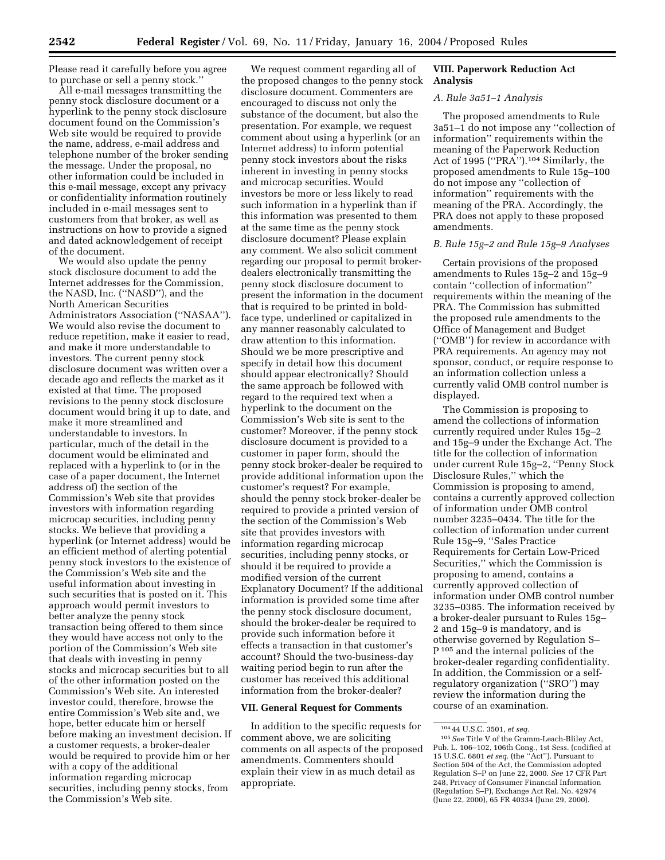Please read it carefully before you agree to purchase or sell a penny stock.''

All e-mail messages transmitting the penny stock disclosure document or a hyperlink to the penny stock disclosure document found on the Commission's Web site would be required to provide the name, address, e-mail address and telephone number of the broker sending the message. Under the proposal, no other information could be included in this e-mail message, except any privacy or confidentiality information routinely included in e-mail messages sent to customers from that broker, as well as instructions on how to provide a signed and dated acknowledgement of receipt of the document.

We would also update the penny stock disclosure document to add the Internet addresses for the Commission, the NASD, Inc. (''NASD''), and the North American Securities Administrators Association (''NASAA''). We would also revise the document to reduce repetition, make it easier to read, and make it more understandable to investors. The current penny stock disclosure document was written over a decade ago and reflects the market as it existed at that time. The proposed revisions to the penny stock disclosure document would bring it up to date, and make it more streamlined and understandable to investors. In particular, much of the detail in the document would be eliminated and replaced with a hyperlink to (or in the case of a paper document, the Internet address of) the section of the Commission's Web site that provides investors with information regarding microcap securities, including penny stocks. We believe that providing a hyperlink (or Internet address) would be an efficient method of alerting potential penny stock investors to the existence of the Commission's Web site and the useful information about investing in such securities that is posted on it. This approach would permit investors to better analyze the penny stock transaction being offered to them since they would have access not only to the portion of the Commission's Web site that deals with investing in penny stocks and microcap securities but to all of the other information posted on the Commission's Web site. An interested investor could, therefore, browse the entire Commission's Web site and, we hope, better educate him or herself before making an investment decision. If a customer requests, a broker-dealer would be required to provide him or her with a copy of the additional information regarding microcap securities, including penny stocks, from the Commission's Web site.

We request comment regarding all of the proposed changes to the penny stock disclosure document. Commenters are encouraged to discuss not only the substance of the document, but also the presentation. For example, we request comment about using a hyperlink (or an Internet address) to inform potential penny stock investors about the risks inherent in investing in penny stocks and microcap securities. Would investors be more or less likely to read such information in a hyperlink than if this information was presented to them at the same time as the penny stock disclosure document? Please explain any comment. We also solicit comment regarding our proposal to permit brokerdealers electronically transmitting the penny stock disclosure document to present the information in the document that is required to be printed in boldface type, underlined or capitalized in any manner reasonably calculated to draw attention to this information. Should we be more prescriptive and specify in detail how this document should appear electronically? Should the same approach be followed with regard to the required text when a hyperlink to the document on the Commission's Web site is sent to the customer? Moreover, if the penny stock disclosure document is provided to a customer in paper form, should the penny stock broker-dealer be required to provide additional information upon the customer's request? For example, should the penny stock broker-dealer be required to provide a printed version of the section of the Commission's Web site that provides investors with information regarding microcap securities, including penny stocks, or should it be required to provide a modified version of the current Explanatory Document? If the additional information is provided some time after the penny stock disclosure document, should the broker-dealer be required to provide such information before it effects a transaction in that customer's account? Should the two-business-day waiting period begin to run after the customer has received this additional information from the broker-dealer?

## **VII. General Request for Comments**

In addition to the specific requests for comment above, we are soliciting comments on all aspects of the proposed amendments. Commenters should explain their view in as much detail as appropriate.

# **VIII. Paperwork Reduction Act Analysis**

# *A. Rule 3a51–1 Analysis*

The proposed amendments to Rule 3a51–1 do not impose any ''collection of information'' requirements within the meaning of the Paperwork Reduction Act of 1995 ("PRA").<sup>104</sup> Similarly, the proposed amendments to Rule 15g–100 do not impose any ''collection of information'' requirements with the meaning of the PRA. Accordingly, the PRA does not apply to these proposed amendments.

### *B. Rule 15g–2 and Rule 15g–9 Analyses*

Certain provisions of the proposed amendments to Rules 15g–2 and 15g–9 contain ''collection of information'' requirements within the meaning of the PRA. The Commission has submitted the proposed rule amendments to the Office of Management and Budget (''OMB'') for review in accordance with PRA requirements. An agency may not sponsor, conduct, or require response to an information collection unless a currently valid OMB control number is displayed.

The Commission is proposing to amend the collections of information currently required under Rules 15g–2 and 15g–9 under the Exchange Act. The title for the collection of information under current Rule 15g–2, ''Penny Stock Disclosure Rules,'' which the Commission is proposing to amend, contains a currently approved collection of information under OMB control number 3235–0434. The title for the collection of information under current Rule 15g–9, ''Sales Practice Requirements for Certain Low-Priced Securities,'' which the Commission is proposing to amend, contains a currently approved collection of information under OMB control number 3235–0385. The information received by a broker-dealer pursuant to Rules 15g– 2 and 15g–9 is mandatory, and is otherwise governed by Regulation S– P 105 and the internal policies of the broker-dealer regarding confidentiality. In addition, the Commission or a selfregulatory organization (''SRO'') may review the information during the course of an examination.

<sup>104</sup> 44 U.S.C. 3501, *et seq.*

<sup>105</sup>*See* Title V of the Gramm-Leach-Bliley Act, Pub. L. 106–102, 106th Cong., 1st Sess. (codified at 15 U.S.C. 6801 *et seq.* (the ''Act''). Pursuant to Section 504 of the Act, the Commission adopted Regulation S–P on June 22, 2000. *See* 17 CFR Part 248, Privacy of Consumer Financial Information (Regulation S–P), Exchange Act Rel. No. 42974 (June 22, 2000), 65 FR 40334 (June 29, 2000).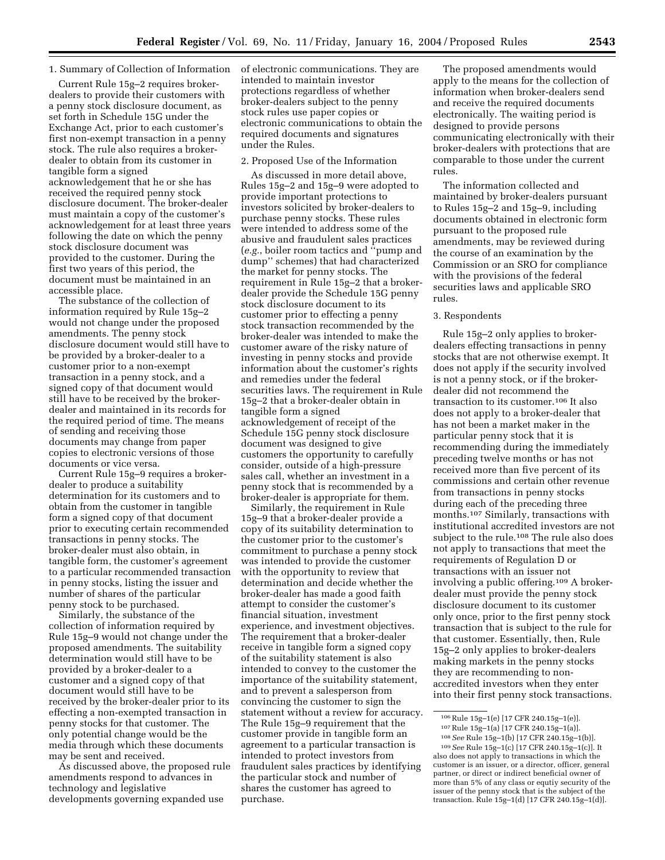### 1. Summary of Collection of Information

Current Rule 15g–2 requires brokerdealers to provide their customers with a penny stock disclosure document, as set forth in Schedule 15G under the Exchange Act, prior to each customer's first non-exempt transaction in a penny stock. The rule also requires a brokerdealer to obtain from its customer in tangible form a signed acknowledgement that he or she has received the required penny stock disclosure document. The broker-dealer must maintain a copy of the customer's acknowledgement for at least three years following the date on which the penny stock disclosure document was provided to the customer. During the first two years of this period, the document must be maintained in an accessible place.

The substance of the collection of information required by Rule 15g–2 would not change under the proposed amendments. The penny stock disclosure document would still have to be provided by a broker-dealer to a customer prior to a non-exempt transaction in a penny stock, and a signed copy of that document would still have to be received by the brokerdealer and maintained in its records for the required period of time. The means of sending and receiving those documents may change from paper copies to electronic versions of those documents or vice versa.

Current Rule 15g–9 requires a brokerdealer to produce a suitability determination for its customers and to obtain from the customer in tangible form a signed copy of that document prior to executing certain recommended transactions in penny stocks. The broker-dealer must also obtain, in tangible form, the customer's agreement to a particular recommended transaction in penny stocks, listing the issuer and number of shares of the particular penny stock to be purchased.

Similarly, the substance of the collection of information required by Rule 15g–9 would not change under the proposed amendments. The suitability determination would still have to be provided by a broker-dealer to a customer and a signed copy of that document would still have to be received by the broker-dealer prior to its effecting a non-exempted transaction in penny stocks for that customer. The only potential change would be the media through which these documents may be sent and received.

As discussed above, the proposed rule amendments respond to advances in technology and legislative developments governing expanded use

of electronic communications. They are intended to maintain investor protections regardless of whether broker-dealers subject to the penny stock rules use paper copies or electronic communications to obtain the required documents and signatures under the Rules.

### 2. Proposed Use of the Information

As discussed in more detail above, Rules 15g–2 and 15g–9 were adopted to provide important protections to investors solicited by broker-dealers to purchase penny stocks. These rules were intended to address some of the abusive and fraudulent sales practices (*e.g.*, boiler room tactics and ''pump and dump'' schemes) that had characterized the market for penny stocks. The requirement in Rule 15g–2 that a brokerdealer provide the Schedule 15G penny stock disclosure document to its customer prior to effecting a penny stock transaction recommended by the broker-dealer was intended to make the customer aware of the risky nature of investing in penny stocks and provide information about the customer's rights and remedies under the federal securities laws. The requirement in Rule 15g–2 that a broker-dealer obtain in tangible form a signed acknowledgement of receipt of the Schedule 15G penny stock disclosure document was designed to give customers the opportunity to carefully consider, outside of a high-pressure sales call, whether an investment in a penny stock that is recommended by a broker-dealer is appropriate for them.

Similarly, the requirement in Rule 15g–9 that a broker-dealer provide a copy of its suitability determination to the customer prior to the customer's commitment to purchase a penny stock was intended to provide the customer with the opportunity to review that determination and decide whether the broker-dealer has made a good faith attempt to consider the customer's financial situation, investment experience, and investment objectives. The requirement that a broker-dealer receive in tangible form a signed copy of the suitability statement is also intended to convey to the customer the importance of the suitability statement, and to prevent a salesperson from convincing the customer to sign the statement without a review for accuracy. The Rule 15g–9 requirement that the customer provide in tangible form an agreement to a particular transaction is intended to protect investors from fraudulent sales practices by identifying the particular stock and number of shares the customer has agreed to purchase.

The proposed amendments would apply to the means for the collection of information when broker-dealers send and receive the required documents electronically. The waiting period is designed to provide persons communicating electronically with their broker-dealers with protections that are comparable to those under the current rules.

The information collected and maintained by broker-dealers pursuant to Rules 15g–2 and 15g–9, including documents obtained in electronic form pursuant to the proposed rule amendments, may be reviewed during the course of an examination by the Commission or an SRO for compliance with the provisions of the federal securities laws and applicable SRO rules.

# 3. Respondents

Rule 15g–2 only applies to brokerdealers effecting transactions in penny stocks that are not otherwise exempt. It does not apply if the security involved is not a penny stock, or if the brokerdealer did not recommend the transaction to its customer.106 It also does not apply to a broker-dealer that has not been a market maker in the particular penny stock that it is recommending during the immediately preceding twelve months or has not received more than five percent of its commissions and certain other revenue from transactions in penny stocks during each of the preceding three months.107 Similarly, transactions with institutional accredited investors are not subject to the rule.108 The rule also does not apply to transactions that meet the requirements of Regulation D or transactions with an issuer not involving a public offering.109 A brokerdealer must provide the penny stock disclosure document to its customer only once, prior to the first penny stock transaction that is subject to the rule for that customer. Essentially, then, Rule 15g–2 only applies to broker-dealers making markets in the penny stocks they are recommending to nonaccredited investors when they enter into their first penny stock transactions.

<sup>106</sup>Rule 15g–1(e) [17 CFR 240.15g–1(e)].

<sup>107</sup>Rule 15g–1(a) [17 CFR 240.15g–1(a)].

<sup>108</sup>*See* Rule 15g–1(b) [17 CFR 240.15g–1(b)].

<sup>109</sup>*See* Rule 15g–1(c) [17 CFR 240.15g–1(c)]. It also does not apply to transactions in which the customer is an issuer, or a director, officer, general partner, or direct or indirect beneficial owner of more than 5% of any class or equtiy security of the issuer of the penny stock that is the subject of the transaction. Rule 15g–1(d) [17 CFR 240.15g–1(d)].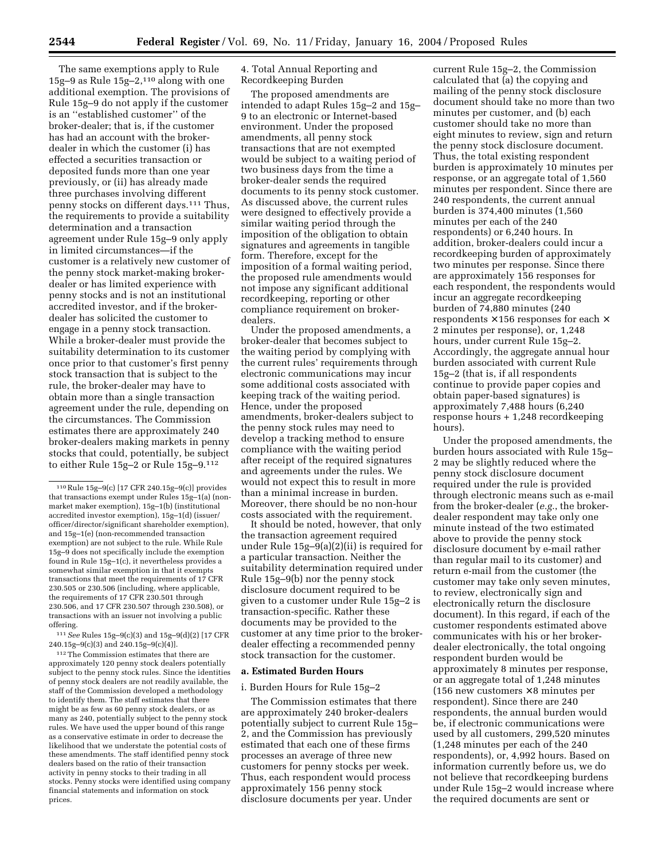The same exemptions apply to Rule 15g–9 as Rule 15g–2,110 along with one additional exemption. The provisions of Rule 15g–9 do not apply if the customer is an ''established customer'' of the broker-dealer; that is, if the customer has had an account with the brokerdealer in which the customer (i) has effected a securities transaction or deposited funds more than one year previously, or (ii) has already made three purchases involving different penny stocks on different days.111 Thus, the requirements to provide a suitability determination and a transaction agreement under Rule 15g–9 only apply in limited circumstances—if the customer is a relatively new customer of the penny stock market-making brokerdealer or has limited experience with penny stocks and is not an institutional accredited investor, and if the brokerdealer has solicited the customer to engage in a penny stock transaction. While a broker-dealer must provide the suitability determination to its customer once prior to that customer's first penny stock transaction that is subject to the rule, the broker-dealer may have to obtain more than a single transaction agreement under the rule, depending on the circumstances. The Commission estimates there are approximately 240 broker-dealers making markets in penny stocks that could, potentially, be subject to either Rule 15g–2 or Rule 15g–9.112

111*See* Rules 15g–9(c)(3) and 15g–9(d)(2) [17 CFR 240.15g–9(c)(3) and 240.15g–9(c)(4)].

112The Commission estimates that there are approximately 120 penny stock dealers potentially subject to the penny stock rules. Since the identities of penny stock dealers are not readily available, the staff of the Commission developed a methodology to identify them. The staff estimates that there might be as few as 60 penny stock dealers, or as many as 240, potentially subject to the penny stock rules. We have used the upper bound of this range as a conservative estimate in order to decrease the likelihood that we understate the potential costs of these amendments. The staff identified penny stock dealers based on the ratio of their transaction activity in penny stocks to their trading in all stocks. Penny stocks were identified using company financial statements and information on stock prices.

4. Total Annual Reporting and Recordkeeping Burden

The proposed amendments are intended to adapt Rules 15g–2 and 15g– 9 to an electronic or Internet-based environment. Under the proposed amendments, all penny stock transactions that are not exempted would be subject to a waiting period of two business days from the time a broker-dealer sends the required documents to its penny stock customer. As discussed above, the current rules were designed to effectively provide a similar waiting period through the imposition of the obligation to obtain signatures and agreements in tangible form. Therefore, except for the imposition of a formal waiting period, the proposed rule amendments would not impose any significant additional recordkeeping, reporting or other compliance requirement on brokerdealers.

Under the proposed amendments, a broker-dealer that becomes subject to the waiting period by complying with the current rules' requirements through electronic communications may incur some additional costs associated with keeping track of the waiting period. Hence, under the proposed amendments, broker-dealers subject to the penny stock rules may need to develop a tracking method to ensure compliance with the waiting period after receipt of the required signatures and agreements under the rules. We would not expect this to result in more than a minimal increase in burden. Moreover, there should be no non-hour costs associated with the requirement.

It should be noted, however, that only the transaction agreement required under Rule 15g–9(a)(2)(ii) is required for a particular transaction. Neither the suitability determination required under Rule 15g–9(b) nor the penny stock disclosure document required to be given to a customer under Rule 15g–2 is transaction-specific. Rather these documents may be provided to the customer at any time prior to the brokerdealer effecting a recommended penny stock transaction for the customer.

# **a. Estimated Burden Hours**

### i. Burden Hours for Rule 15g–2

The Commission estimates that there are approximately 240 broker-dealers potentially subject to current Rule 15g– 2, and the Commission has previously estimated that each one of these firms processes an average of three new customers for penny stocks per week. Thus, each respondent would process approximately 156 penny stock disclosure documents per year. Under

current Rule 15g–2, the Commission calculated that (a) the copying and mailing of the penny stock disclosure document should take no more than two minutes per customer, and (b) each customer should take no more than eight minutes to review, sign and return the penny stock disclosure document. Thus, the total existing respondent burden is approximately 10 minutes per response, or an aggregate total of 1,560 minutes per respondent. Since there are 240 respondents, the current annual burden is 374,400 minutes (1,560 minutes per each of the 240 respondents) or 6,240 hours. In addition, broker-dealers could incur a recordkeeping burden of approximately two minutes per response. Since there are approximately 156 responses for each respondent, the respondents would incur an aggregate recordkeeping burden of 74,880 minutes (240 respondents  $\times$  156 responses for each  $\times$ 2 minutes per response), or, 1,248 hours, under current Rule 15g–2. Accordingly, the aggregate annual hour burden associated with current Rule 15g–2 (that is, if all respondents continue to provide paper copies and obtain paper-based signatures) is approximately 7,488 hours (6,240 response hours + 1,248 recordkeeping hours).

Under the proposed amendments, the burden hours associated with Rule 15g– 2 may be slightly reduced where the penny stock disclosure document required under the rule is provided through electronic means such as e-mail from the broker-dealer (*e.g.*, the brokerdealer respondent may take only one minute instead of the two estimated above to provide the penny stock disclosure document by e-mail rather than regular mail to its customer) and return e-mail from the customer (the customer may take only seven minutes, to review, electronically sign and electronically return the disclosure document). In this regard, if each of the customer respondents estimated above communicates with his or her brokerdealer electronically, the total ongoing respondent burden would be approximately 8 minutes per response, or an aggregate total of 1,248 minutes (156 new customers  $\times$  8 minutes per respondent). Since there are 240 respondents, the annual burden would be, if electronic communications were used by all customers, 299,520 minutes (1,248 minutes per each of the 240 respondents), or, 4,992 hours. Based on information currently before us, we do not believe that recordkeeping burdens under Rule 15g–2 would increase where the required documents are sent or

<sup>110</sup>Rule 15g–9(c) [17 CFR 240.15g–9(c)] provides that transactions exempt under Rules 15g–1(a) (nonmarket maker exemption), 15g–1(b) (institutional accredited investor exemption), 15g–1(d) (issuer/ officer/director/significant shareholder exemption), and 15g–1(e) (non-recommended transaction exemption) are not subject to the rule. While Rule 15g–9 does not specifically include the exemption found in Rule 15g–1(c), it nevertheless provides a somewhat similar exemption in that it exempts transactions that meet the requirements of 17 CFR 230.505 or 230.506 (including, where applicable, the requirements of 17 CFR 230.501 through 230.506, and 17 CFR 230.507 through 230.508), or transactions with an issuer not involving a public offering.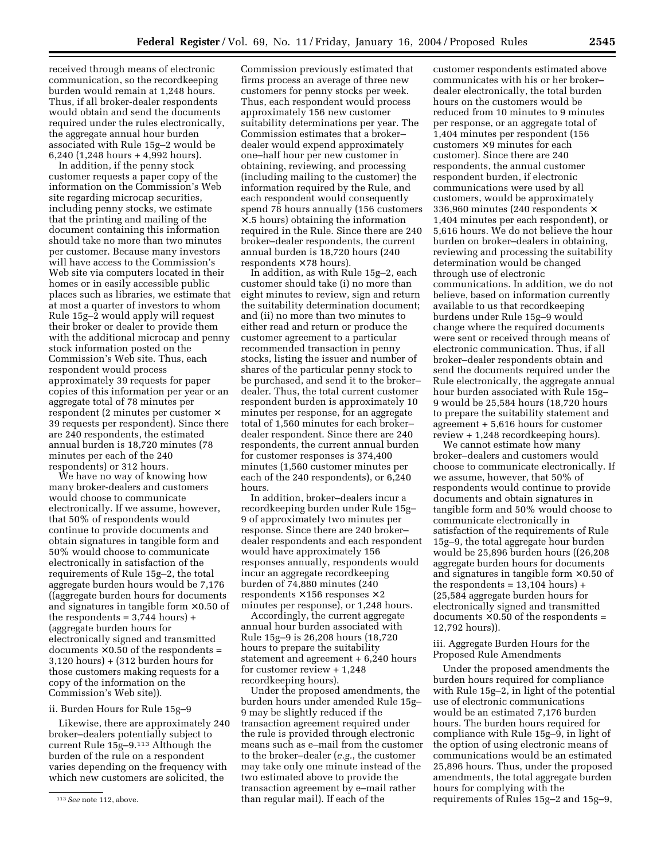received through means of electronic communication, so the recordkeeping burden would remain at 1,248 hours. Thus, if all broker-dealer respondents would obtain and send the documents required under the rules electronically, the aggregate annual hour burden associated with Rule 15g–2 would be 6,240 (1,248 hours + 4,992 hours).

In addition, if the penny stock customer requests a paper copy of the information on the Commission's Web site regarding microcap securities, including penny stocks, we estimate that the printing and mailing of the document containing this information should take no more than two minutes per customer. Because many investors will have access to the Commission's Web site via computers located in their homes or in easily accessible public places such as libraries, we estimate that at most a quarter of investors to whom Rule 15g–2 would apply will request their broker or dealer to provide them with the additional microcap and penny stock information posted on the Commission's Web site. Thus, each respondent would process approximately 39 requests for paper copies of this information per year or an aggregate total of 78 minutes per respondent (2 minutes per customer × 39 requests per respondent). Since there are 240 respondents, the estimated annual burden is 18,720 minutes (78 minutes per each of the 240 respondents) or 312 hours.

We have no way of knowing how many broker-dealers and customers would choose to communicate electronically. If we assume, however, that 50% of respondents would continue to provide documents and obtain signatures in tangible form and 50% would choose to communicate electronically in satisfaction of the requirements of Rule 15g–2, the total aggregate burden hours would be 7,176 ((aggregate burden hours for documents and signatures in tangible form  $\times$  0.50 of the respondents  $= 3,744$  hours)  $+$ (aggregate burden hours for electronically signed and transmitted documents  $\times$  0.50 of the respondents = 3,120 hours) + (312 burden hours for those customers making requests for a copy of the information on the Commission's Web site)).

### ii. Burden Hours for Rule 15g–9

Likewise, there are approximately 240 broker–dealers potentially subject to current Rule 15g–9.113 Although the burden of the rule on a respondent varies depending on the frequency with which new customers are solicited, the

Commission previously estimated that firms process an average of three new customers for penny stocks per week. Thus, each respondent would process approximately 156 new customer suitability determinations per year. The Commission estimates that a broker– dealer would expend approximately one–half hour per new customer in obtaining, reviewing, and processing (including mailing to the customer) the information required by the Rule, and each respondent would consequently spend 78 hours annually (156 customers × .5 hours) obtaining the information required in the Rule. Since there are 240 broker–dealer respondents, the current annual burden is 18,720 hours (240 respondents  $\times$  78 hours).

In addition, as with Rule 15g–2, each customer should take (i) no more than eight minutes to review, sign and return the suitability determination document; and (ii) no more than two minutes to either read and return or produce the customer agreement to a particular recommended transaction in penny stocks, listing the issuer and number of shares of the particular penny stock to be purchased, and send it to the broker– dealer. Thus, the total current customer respondent burden is approximately 10 minutes per response, for an aggregate total of 1,560 minutes for each broker– dealer respondent. Since there are 240 respondents, the current annual burden for customer responses is 374,400 minutes (1,560 customer minutes per each of the 240 respondents), or 6,240 hours.

In addition, broker–dealers incur a recordkeeping burden under Rule 15g– 9 of approximately two minutes per response. Since there are 240 broker– dealer respondents and each respondent would have approximately 156 responses annually, respondents would incur an aggregate recordkeeping burden of 74,880 minutes (240 respondents  $\times$  156 responses  $\times$  2 minutes per response), or 1,248 hours.

Accordingly, the current aggregate annual hour burden associated with Rule 15g–9 is 26,208 hours (18,720 hours to prepare the suitability statement and agreement + 6,240 hours for customer review + 1,248 recordkeeping hours).

Under the proposed amendments, the burden hours under amended Rule 15g– 9 may be slightly reduced if the transaction agreement required under the rule is provided through electronic means such as e–mail from the customer to the broker–dealer (*e.g.*, the customer may take only one minute instead of the two estimated above to provide the transaction agreement by e–mail rather than regular mail). If each of the

customer respondents estimated above communicates with his or her broker– dealer electronically, the total burden hours on the customers would be reduced from 10 minutes to 9 minutes per response, or an aggregate total of 1,404 minutes per respondent (156  $\text{customers} \times 9 \text{ minutes}$  for each customer). Since there are 240 respondents, the annual customer respondent burden, if electronic communications were used by all customers, would be approximately 336,960 minutes (240 respondents × 1,404 minutes per each respondent), or 5,616 hours. We do not believe the hour burden on broker–dealers in obtaining, reviewing and processing the suitability determination would be changed through use of electronic communications. In addition, we do not believe, based on information currently available to us that recordkeeping burdens under Rule 15g–9 would change where the required documents were sent or received through means of electronic communication. Thus, if all broker–dealer respondents obtain and send the documents required under the Rule electronically, the aggregate annual hour burden associated with Rule 15g– 9 would be 25,584 hours (18,720 hours to prepare the suitability statement and agreement + 5,616 hours for customer review + 1,248 recordkeeping hours).

We cannot estimate how many broker–dealers and customers would choose to communicate electronically. If we assume, however, that 50% of respondents would continue to provide documents and obtain signatures in tangible form and 50% would choose to communicate electronically in satisfaction of the requirements of Rule 15g–9, the total aggregate hour burden would be 25,896 burden hours ((26,208 aggregate burden hours for documents and signatures in tangible form  $\times$  0.50 of the respondents  $= 13,104$  hours) + (25,584 aggregate burden hours for electronically signed and transmitted  $d$ ocuments  $\times$  0.50 of the respondents = 12,792 hours)).

iii. Aggregate Burden Hours for the Proposed Rule Amendments

Under the proposed amendments the burden hours required for compliance with Rule 15g–2, in light of the potential use of electronic communications would be an estimated 7,176 burden hours. The burden hours required for compliance with Rule 15g–9, in light of the option of using electronic means of communications would be an estimated 25,896 hours. Thus, under the proposed amendments, the total aggregate burden hours for complying with the requirements of Rules 15g–2 and 15g–9,

<sup>113</sup>*See* note 112, above.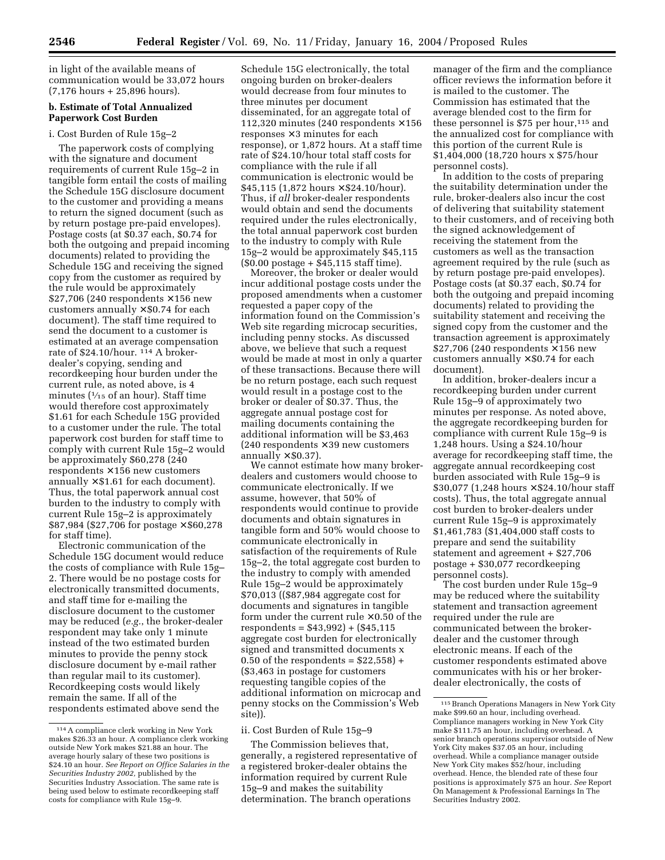in light of the available means of communication would be 33,072 hours (7,176 hours + 25,896 hours).

# **b. Estimate of Total Annualized Paperwork Cost Burden**

#### i. Cost Burden of Rule 15g–2

The paperwork costs of complying with the signature and document requirements of current Rule 15g–2 in tangible form entail the costs of mailing the Schedule 15G disclosure document to the customer and providing a means to return the signed document (such as by return postage pre-paid envelopes). Postage costs (at \$0.37 each, \$0.74 for both the outgoing and prepaid incoming documents) related to providing the Schedule 15G and receiving the signed copy from the customer as required by the rule would be approximately  $\$27,706$  (240 respondents  $\times\,156$  new customers annually  $\times$  \$0.74 for each document). The staff time required to send the document to a customer is estimated at an average compensation rate of  $$24.10/h$ our.  $^{114}$  A brokerdealer's copying, sending and recordkeeping hour burden under the current rule, as noted above, is 4 minutes ( $\frac{1}{15}$  of an hour). Staff time would therefore cost approximately \$1.61 for each Schedule 15G provided to a customer under the rule. The total paperwork cost burden for staff time to comply with current Rule 15g–2 would be approximately \$60,278 (240  $respondents \times 156$  new customers annually  $\times$  \$1.61 for each document). Thus, the total paperwork annual cost burden to the industry to comply with current Rule 15g–2 is approximately \$87,984 (\$27,706 for postage × \$60,278 for staff time).

Electronic communication of the Schedule 15G document would reduce the costs of compliance with Rule 15g– 2. There would be no postage costs for electronically transmitted documents, and staff time for e-mailing the disclosure document to the customer may be reduced (*e.g.*, the broker-dealer respondent may take only 1 minute instead of the two estimated burden minutes to provide the penny stock disclosure document by e-mail rather than regular mail to its customer). Recordkeeping costs would likely remain the same. If all of the respondents estimated above send the

Schedule 15G electronically, the total ongoing burden on broker-dealers would decrease from four minutes to three minutes per document disseminated, for an aggregate total of 112,320 minutes (240 respondents  $\times$  156 responses  $\times$  3 minutes for each response), or 1,872 hours. At a staff time rate of \$24.10/hour total staff costs for compliance with the rule if all communication is electronic would be  $$45,115$  (1,872 hours  $\times$  \$24.10/hour). Thus, if *all* broker-dealer respondents would obtain and send the documents required under the rules electronically, the total annual paperwork cost burden to the industry to comply with Rule 15g–2 would be approximately \$45,115 (\$0.00 postage + \$45,115 staff time).

Moreover, the broker or dealer would incur additional postage costs under the proposed amendments when a customer requested a paper copy of the information found on the Commission's Web site regarding microcap securities, including penny stocks. As discussed above, we believe that such a request would be made at most in only a quarter of these transactions. Because there will be no return postage, each such request would result in a postage cost to the broker or dealer of \$0.37. Thus, the aggregate annual postage cost for mailing documents containing the additional information will be \$3,463 (240 respondents  $\times$  39 new customers annually  $\times$  \$0.37).

We cannot estimate how many brokerdealers and customers would choose to communicate electronically. If we assume, however, that 50% of respondents would continue to provide documents and obtain signatures in tangible form and 50% would choose to communicate electronically in satisfaction of the requirements of Rule 15g–2, the total aggregate cost burden to the industry to comply with amended Rule 15g–2 would be approximately \$70,013 ((\$87,984 aggregate cost for documents and signatures in tangible form under the current rule  $\times$  0.50 of the respondents = \$43,992) + (\$45,115 aggregate cost burden for electronically signed and transmitted documents x 0.50 of the respondents =  $$22,558$  + (\$3,463 in postage for customers requesting tangible copies of the additional information on microcap and penny stocks on the Commission's Web site)).

### ii. Cost Burden of Rule 15g–9

The Commission believes that, generally, a registered representative of a registered broker-dealer obtains the information required by current Rule 15g–9 and makes the suitability determination. The branch operations

manager of the firm and the compliance officer reviews the information before it is mailed to the customer. The Commission has estimated that the average blended cost to the firm for these personnel is  $$75$  per hour,<sup>115</sup> and the annualized cost for compliance with this portion of the current Rule is \$1,404,000 (18,720 hours x \$75/hour personnel costs).

In addition to the costs of preparing the suitability determination under the rule, broker-dealers also incur the cost of delivering that suitability statement to their customers, and of receiving both the signed acknowledgement of receiving the statement from the customers as well as the transaction agreement required by the rule (such as by return postage pre-paid envelopes). Postage costs (at \$0.37 each, \$0.74 for both the outgoing and prepaid incoming documents) related to providing the suitability statement and receiving the signed copy from the customer and the transaction agreement is approximately  $$27,706$  (240 respondents  $\times$  156 new customers annually  $\times$  \$0.74 for each document).

In addition, broker-dealers incur a recordkeeping burden under current Rule 15g–9 of approximately two minutes per response. As noted above, the aggregate recordkeeping burden for compliance with current Rule 15g–9 is 1,248 hours. Using a \$24.10/hour average for recordkeeping staff time, the aggregate annual recordkeeping cost burden associated with Rule 15g–9 is \$30,077 (1,248 hours × \$24.10/hour staff costs). Thus, the total aggregate annual cost burden to broker-dealers under current Rule 15g–9 is approximately \$1,461,783 (\$1,404,000 staff costs to prepare and send the suitability statement and agreement + \$27,706 postage + \$30,077 recordkeeping personnel costs).

The cost burden under Rule 15g–9 may be reduced where the suitability statement and transaction agreement required under the rule are communicated between the brokerdealer and the customer through electronic means. If each of the customer respondents estimated above communicates with his or her brokerdealer electronically, the costs of

<sup>114</sup>A compliance clerk working in New York makes \$26.33 an hour. A compliance clerk working outside New York makes \$21.88 an hour. The average hourly salary of these two positions is \$24.10 an hour. *See Report on Office Salaries in the Securities Industry 2002,* published by the Securities Industry Association. The same rate is being used below to estimate recordkeeping staff costs for compliance with Rule 15g–9.

<sup>115</sup>Branch Operations Managers in New York City make \$99.60 an hour, including overhead. Compliance managers working in New York City make \$111.75 an hour, including overhead. A senior branch operations supervisor outside of New York City makes \$37.05 an hour, including overhead. While a compliance manager outside New York City makes \$52/hour, including overhead. Hence, the blended rate of these four positions is approximately \$75 an hour. *See* Report On Management & Professional Earnings In The Securities Industry 2002.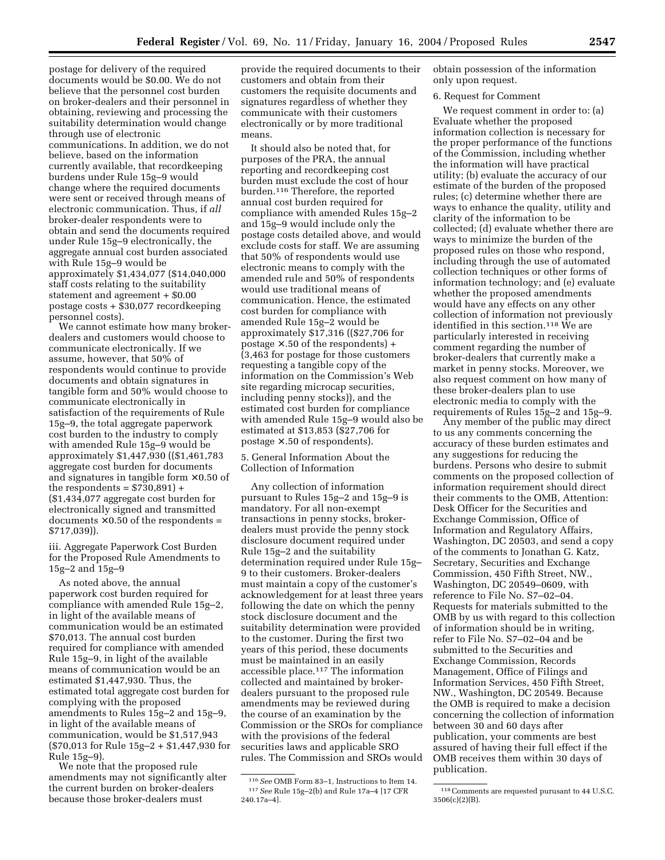postage for delivery of the required documents would be \$0.00. We do not believe that the personnel cost burden on broker-dealers and their personnel in obtaining, reviewing and processing the suitability determination would change through use of electronic communications. In addition, we do not believe, based on the information currently available, that recordkeeping burdens under Rule 15g–9 would change where the required documents were sent or received through means of electronic communication. Thus, if *all* broker-dealer respondents were to obtain and send the documents required under Rule 15g–9 electronically, the aggregate annual cost burden associated with Rule 15g–9 would be approximately \$1,434,077 (\$14,040,000 staff costs relating to the suitability statement and agreement + \$0.00 postage costs + \$30,077 recordkeeping personnel costs).

We cannot estimate how many brokerdealers and customers would choose to communicate electronically. If we assume, however, that 50% of respondents would continue to provide documents and obtain signatures in tangible form and 50% would choose to communicate electronically in satisfaction of the requirements of Rule 15g–9, the total aggregate paperwork cost burden to the industry to comply with amended Rule 15g–9 would be approximately \$1,447,930 ((\$1,461,783 aggregate cost burden for documents and signatures in tangible form  $\times$  0.50 of the respondents =  $$730,891$  + (\$1,434,077 aggregate cost burden for electronically signed and transmitted documents  $\times$  0.50 of the respondents = \$717,039)).

iii. Aggregate Paperwork Cost Burden for the Proposed Rule Amendments to 15g–2 and 15g–9

As noted above, the annual paperwork cost burden required for compliance with amended Rule 15g–2, in light of the available means of communication would be an estimated \$70,013. The annual cost burden required for compliance with amended Rule 15g–9, in light of the available means of communication would be an estimated \$1,447,930. Thus, the estimated total aggregate cost burden for complying with the proposed amendments to Rules 15g–2 and 15g–9, in light of the available means of communication, would be \$1,517,943 (\$70,013 for Rule 15g–2 + \$1,447,930 for Rule 15g–9).

We note that the proposed rule amendments may not significantly alter the current burden on broker-dealers because those broker-dealers must

provide the required documents to their customers and obtain from their customers the requisite documents and signatures regardless of whether they communicate with their customers electronically or by more traditional means.

It should also be noted that, for purposes of the PRA, the annual reporting and recordkeeping cost burden must exclude the cost of hour burden.116 Therefore, the reported annual cost burden required for compliance with amended Rules 15g–2 and 15g–9 would include only the postage costs detailed above, and would exclude costs for staff. We are assuming that 50% of respondents would use electronic means to comply with the amended rule and 50% of respondents would use traditional means of communication. Hence, the estimated cost burden for compliance with amended Rule 15g–2 would be approximately \$17,316 ((\$27,706 for postage  $\times$  .50 of the respondents) + (3,463 for postage for those customers requesting a tangible copy of the information on the Commission's Web site regarding microcap securities, including penny stocks)), and the estimated cost burden for compliance with amended Rule 15g–9 would also be estimated at \$13,853 (\$27,706 for postage  $\times$  .50 of respondents).

5. General Information About the Collection of Information

Any collection of information pursuant to Rules 15g–2 and 15g–9 is mandatory. For all non-exempt transactions in penny stocks, brokerdealers must provide the penny stock disclosure document required under Rule 15g–2 and the suitability determination required under Rule 15g– 9 to their customers. Broker-dealers must maintain a copy of the customer's acknowledgement for at least three years following the date on which the penny stock disclosure document and the suitability determination were provided to the customer. During the first two years of this period, these documents must be maintained in an easily accessible place.117 The information collected and maintained by brokerdealers pursuant to the proposed rule amendments may be reviewed during the course of an examination by the Commission or the SROs for compliance with the provisions of the federal securities laws and applicable SRO rules. The Commission and SROs would

obtain possession of the information only upon request.

#### 6. Request for Comment

We request comment in order to: (a) Evaluate whether the proposed information collection is necessary for the proper performance of the functions of the Commission, including whether the information will have practical utility; (b) evaluate the accuracy of our estimate of the burden of the proposed rules; (c) determine whether there are ways to enhance the quality, utility and clarity of the information to be collected; (d) evaluate whether there are ways to minimize the burden of the proposed rules on those who respond, including through the use of automated collection techniques or other forms of information technology; and (e) evaluate whether the proposed amendments would have any effects on any other collection of information not previously identified in this section.118 We are particularly interested in receiving comment regarding the number of broker-dealers that currently make a market in penny stocks. Moreover, we also request comment on how many of these broker-dealers plan to use electronic media to comply with the requirements of Rules 15g–2 and 15g–9.

Any member of the public may direct to us any comments concerning the accuracy of these burden estimates and any suggestions for reducing the burdens. Persons who desire to submit comments on the proposed collection of information requirement should direct their comments to the OMB, Attention: Desk Officer for the Securities and Exchange Commission, Office of Information and Regulatory Affairs, Washington, DC 20503, and send a copy of the comments to Jonathan G. Katz, Secretary, Securities and Exchange Commission, 450 Fifth Street, NW., Washington, DC 20549–0609, with reference to File No. S7–02–04. Requests for materials submitted to the OMB by us with regard to this collection of information should be in writing, refer to File No. S7–02–04 and be submitted to the Securities and Exchange Commission, Records Management, Office of Filings and Information Services, 450 Fifth Street, NW., Washington, DC 20549. Because the OMB is required to make a decision concerning the collection of information between 30 and 60 days after publication, your comments are best assured of having their full effect if the OMB receives them within 30 days of publication.

<sup>116</sup>*See* OMB Form 83–1, Instructions to Item 14. 117*See* Rule 15g–2(b) and Rule 17a–4 [17 CFR 240.17a–4].

<sup>118</sup>Comments are requested purusant to 44 U.S.C. 3506(c)(2)(B).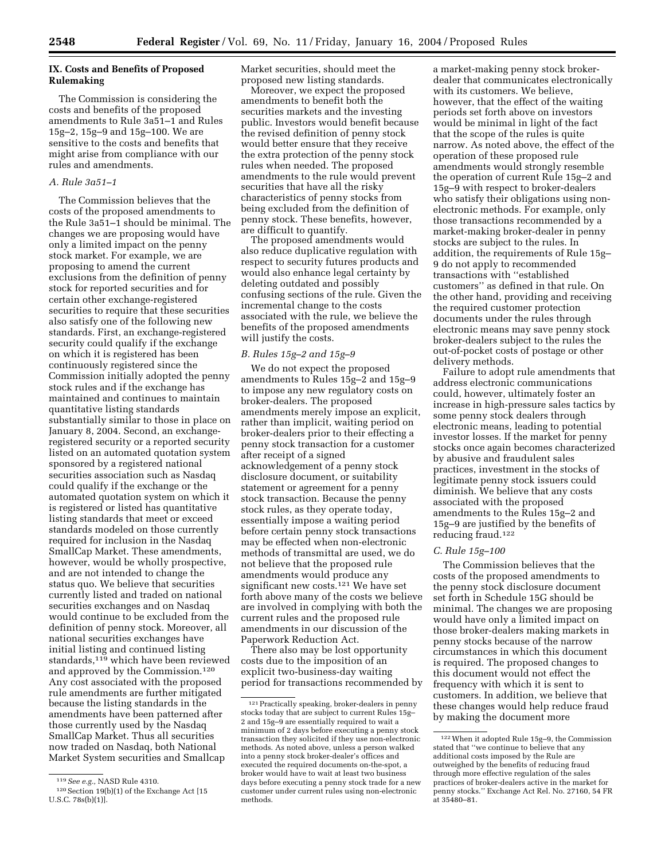# **IX. Costs and Benefits of Proposed Rulemaking**

The Commission is considering the costs and benefits of the proposed amendments to Rule 3a51–1 and Rules 15g–2, 15g–9 and 15g–100. We are sensitive to the costs and benefits that might arise from compliance with our rules and amendments.

#### *A. Rule 3a51–1*

The Commission believes that the costs of the proposed amendments to the Rule 3a51–1 should be minimal. The changes we are proposing would have only a limited impact on the penny stock market. For example, we are proposing to amend the current exclusions from the definition of penny stock for reported securities and for certain other exchange-registered securities to require that these securities also satisfy one of the following new standards. First, an exchange-registered security could qualify if the exchange on which it is registered has been continuously registered since the Commission initially adopted the penny stock rules and if the exchange has maintained and continues to maintain quantitative listing standards substantially similar to those in place on January 8, 2004. Second, an exchangeregistered security or a reported security listed on an automated quotation system sponsored by a registered national securities association such as Nasdaq could qualify if the exchange or the automated quotation system on which it is registered or listed has quantitative listing standards that meet or exceed standards modeled on those currently required for inclusion in the Nasdaq SmallCap Market. These amendments, however, would be wholly prospective, and are not intended to change the status quo. We believe that securities currently listed and traded on national securities exchanges and on Nasdaq would continue to be excluded from the definition of penny stock. Moreover, all national securities exchanges have initial listing and continued listing standards,<sup>119</sup> which have been reviewed and approved by the Commission.120 Any cost associated with the proposed rule amendments are further mitigated because the listing standards in the amendments have been patterned after those currently used by the Nasdaq SmallCap Market. Thus all securities now traded on Nasdaq, both National Market System securities and Smallcap

Market securities, should meet the proposed new listing standards.

Moreover, we expect the proposed amendments to benefit both the securities markets and the investing public. Investors would benefit because the revised definition of penny stock would better ensure that they receive the extra protection of the penny stock rules when needed. The proposed amendments to the rule would prevent securities that have all the risky characteristics of penny stocks from being excluded from the definition of penny stock. These benefits, however, are difficult to quantify.

The proposed amendments would also reduce duplicative regulation with respect to security futures products and would also enhance legal certainty by deleting outdated and possibly confusing sections of the rule. Given the incremental change to the costs associated with the rule, we believe the benefits of the proposed amendments will justify the costs.

### *B. Rules 15g–2 and 15g–9*

We do not expect the proposed amendments to Rules 15g–2 and 15g–9 to impose any new regulatory costs on broker-dealers. The proposed amendments merely impose an explicit, rather than implicit, waiting period on broker-dealers prior to their effecting a penny stock transaction for a customer after receipt of a signed acknowledgement of a penny stock disclosure document, or suitability statement or agreement for a penny stock transaction. Because the penny stock rules, as they operate today, essentially impose a waiting period before certain penny stock transactions may be effected when non-electronic methods of transmittal are used, we do not believe that the proposed rule amendments would produce any significant new costs.121 We have set forth above many of the costs we believe are involved in complying with both the current rules and the proposed rule amendments in our discussion of the Paperwork Reduction Act.

There also may be lost opportunity costs due to the imposition of an explicit two-business-day waiting period for transactions recommended by a market-making penny stock brokerdealer that communicates electronically with its customers. We believe, however, that the effect of the waiting periods set forth above on investors would be minimal in light of the fact that the scope of the rules is quite narrow. As noted above, the effect of the operation of these proposed rule amendments would strongly resemble the operation of current Rule 15g–2 and 15g–9 with respect to broker-dealers who satisfy their obligations using nonelectronic methods. For example, only those transactions recommended by a market-making broker-dealer in penny stocks are subject to the rules. In addition, the requirements of Rule 15g– 9 do not apply to recommended transactions with ''established customers'' as defined in that rule. On the other hand, providing and receiving the required customer protection documents under the rules through electronic means may save penny stock broker-dealers subject to the rules the out-of-pocket costs of postage or other delivery methods.

Failure to adopt rule amendments that address electronic communications could, however, ultimately foster an increase in high-pressure sales tactics by some penny stock dealers through electronic means, leading to potential investor losses. If the market for penny stocks once again becomes characterized by abusive and fraudulent sales practices, investment in the stocks of legitimate penny stock issuers could diminish. We believe that any costs associated with the proposed amendments to the Rules 15g–2 and 15g–9 are justified by the benefits of reducing fraud.122

### *C. Rule 15g–100*

The Commission believes that the costs of the proposed amendments to the penny stock disclosure document set forth in Schedule 15G should be minimal. The changes we are proposing would have only a limited impact on those broker-dealers making markets in penny stocks because of the narrow circumstances in which this document is required. The proposed changes to this document would not effect the frequency with which it is sent to customers. In addition, we believe that these changes would help reduce fraud by making the document more

<sup>119</sup>*See e.g.,* NASD Rule 4310.

<sup>120</sup>Section 19(b)(1) of the Exchange Act [15 U.S.C. 78s(b)(1)].

 $^{\rm 121}$  Practically speaking, broker-dealers in penny stocks today that are subject to current Rules 15g– 2 and 15g–9 are essentially required to wait a minimum of 2 days before executing a penny stock transaction they solicited if they use non-electronic methods. As noted above, unless a person walked into a penny stock broker-dealer's offices and executed the required documents on-the-spot, a broker would have to wait at least two business days before executing a penny stock trade for a new customer under current rules using non-electronic methods.

<sup>122</sup>When it adopted Rule 15g–9, the Commission stated that ''we continue to believe that any additional costs imposed by the Rule are outweighed by the benefits of reducing fraud through more effective regulation of the sales practices of broker-dealers active in the market for penny stocks.'' Exchange Act Rel. No. 27160, 54 FR at 35480–81.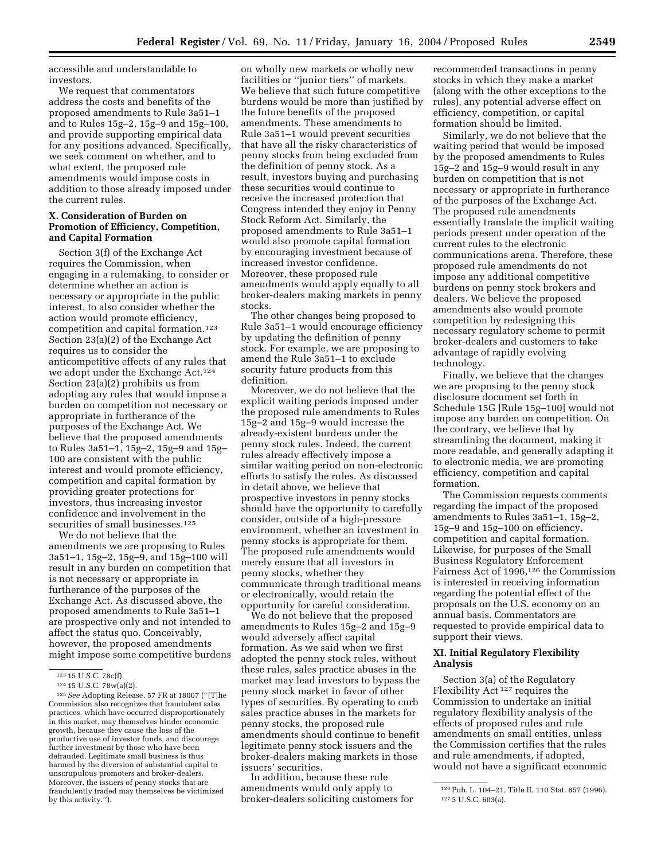accessible and understandable to investors.

We request that commentators address the costs and benefits of the proposed amendments to Rule 3a51–1 and to Rules 15g–2, 15g–9 and 15g–100, and provide supporting empirical data for any positions advanced. Specifically, we seek comment on whether, and to what extent, the proposed rule amendments would impose costs in addition to those already imposed under the current rules.

# **X. Consideration of Burden on Promotion of Efficiency, Competition, and Capital Formation**

Section 3(f) of the Exchange Act requires the Commission, when engaging in a rulemaking, to consider or determine whether an action is necessary or appropriate in the public interest, to also consider whether the action would promote efficiency, competition and capital formation.123 Section 23(a)(2) of the Exchange Act requires us to consider the anticompetitive effects of any rules that we adopt under the Exchange Act.124 Section 23(a)(2) prohibits us from adopting any rules that would impose a burden on competition not necessary or appropriate in furtherance of the purposes of the Exchange Act. We believe that the proposed amendments to Rules 3a51–1, 15g–2, 15g–9 and 15g– 100 are consistent with the public interest and would promote efficiency, competition and capital formation by providing greater protections for investors, thus increasing investor confidence and involvement in the securities of small businesses.<sup>125</sup>

We do not believe that the amendments we are proposing to Rules 3a51–1, 15g–2, 15g–9, and 15g–100 will result in any burden on competition that is not necessary or appropriate in furtherance of the purposes of the Exchange Act. As discussed above, the proposed amendments to Rule 3a51–1 are prospective only and not intended to affect the status quo. Conceivably, however, the proposed amendments might impose some competitive burdens

on wholly new markets or wholly new facilities or ''junior tiers'' of markets. We believe that such future competitive burdens would be more than justified by the future benefits of the proposed amendments. These amendments to Rule 3a51–1 would prevent securities that have all the risky characteristics of penny stocks from being excluded from the definition of penny stock. As a result, investors buying and purchasing these securities would continue to receive the increased protection that Congress intended they enjoy in Penny Stock Reform Act. Similarly, the proposed amendments to Rule 3a51–1 would also promote capital formation by encouraging investment because of increased investor confidence. Moreover, these proposed rule amendments would apply equally to all broker-dealers making markets in penny stocks.

The other changes being proposed to Rule 3a51–1 would encourage efficiency by updating the definition of penny stock. For example, we are proposing to amend the Rule 3a51–1 to exclude security future products from this definition.

Moreover, we do not believe that the explicit waiting periods imposed under the proposed rule amendments to Rules 15g–2 and 15g–9 would increase the already-existent burdens under the penny stock rules. Indeed, the current rules already effectively impose a similar waiting period on non-electronic efforts to satisfy the rules. As discussed in detail above, we believe that prospective investors in penny stocks should have the opportunity to carefully consider, outside of a high-pressure environment, whether an investment in penny stocks is appropriate for them. The proposed rule amendments would merely ensure that all investors in penny stocks, whether they communicate through traditional means or electronically, would retain the opportunity for careful consideration.

We do not believe that the proposed amendments to Rules 15g–2 and 15g–9 would adversely affect capital formation. As we said when we first adopted the penny stock rules, without these rules, sales practice abuses in the market may lead investors to bypass the penny stock market in favor of other types of securities. By operating to curb sales practice abuses in the markets for penny stocks, the proposed rule amendments should continue to benefit legitimate penny stock issuers and the broker-dealers making markets in those issuers' securities.

In addition, because these rule amendments would only apply to broker-dealers soliciting customers for

recommended transactions in penny stocks in which they make a market (along with the other exceptions to the rules), any potential adverse effect on efficiency, competition, or capital formation should be limited.

Similarly, we do not believe that the waiting period that would be imposed by the proposed amendments to Rules 15g–2 and 15g–9 would result in any burden on competition that is not necessary or appropriate in furtherance of the purposes of the Exchange Act. The proposed rule amendments essentially translate the implicit waiting periods present under operation of the current rules to the electronic communications arena. Therefore, these proposed rule amendments do not impose any additional competitive burdens on penny stock brokers and dealers. We believe the proposed amendments also would promote competition by redesigning this necessary regulatory scheme to permit broker-dealers and customers to take advantage of rapidly evolving technology.

Finally, we believe that the changes we are proposing to the penny stock disclosure document set forth in Schedule 15G [Rule 15g–100] would not impose any burden on competition. On the contrary, we believe that by streamlining the document, making it more readable, and generally adapting it to electronic media, we are promoting efficiency, competition and capital formation.

The Commission requests comments regarding the impact of the proposed amendments to Rules 3a51–1, 15g–2, 15g–9 and 15g–100 on efficiency, competition and capital formation. Likewise, for purposes of the Small Business Regulatory Enforcement Fairness Act of 1996,126 the Commission is interested in receiving information regarding the potential effect of the proposals on the U.S. economy on an annual basis. Commentators are requested to provide empirical data to support their views.

# **XI. Initial Regulatory Flexibility Analysis**

Section 3(a) of the Regulatory Flexibility Act 127 requires the Commission to undertake an initial regulatory flexibility analysis of the effects of proposed rules and rule amendments on small entities, unless the Commission certifies that the rules and rule amendments, if adopted, would not have a significant economic

<sup>123</sup> 15 U.S.C. 78c(f).

<sup>124</sup> 15 U.S.C. 78w(a)(2).

<sup>125</sup>*See* Adopting Release, 57 FR at 18007 (''[T]he Commission also recognizes that fraudulent sales practices, which have occurred disproportionately in this market, may themselves hinder economic growth, because they cause the loss of the productive use of investor funds, and discourage further investment by those who have been defrauded. Legitimate small business is thus harmed by the diversion of substantial capital to unscrupulous promoters and broker-dealers. Moreover, the issuers of penny stocks that are fraudulently traded may themselves be victimized by this activity.'').

<sup>126</sup>Pub. L. 104–21, Title II, 110 Stat. 857 (1996). 127 5 U.S.C. 603(a).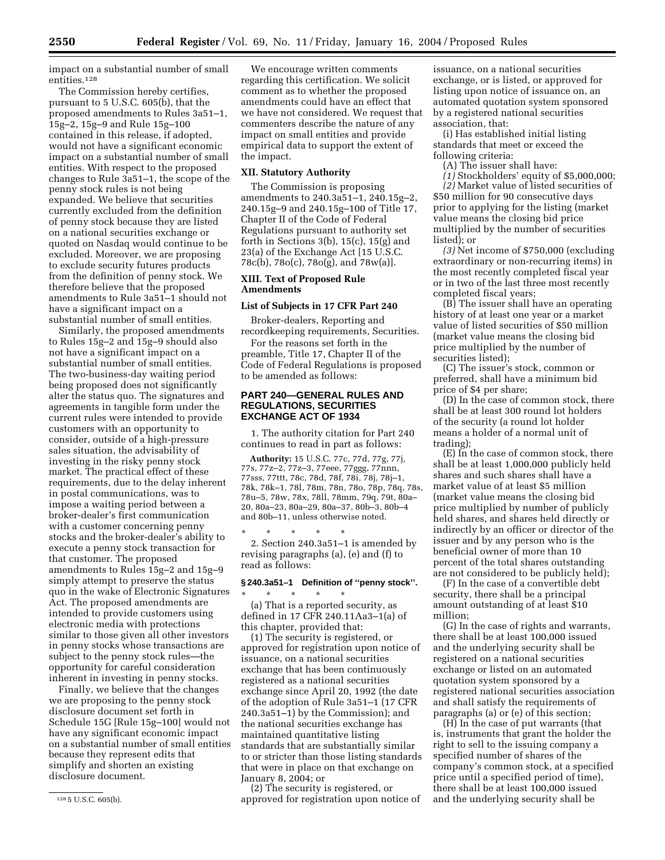impact on a substantial number of small entities.128

The Commission hereby certifies, pursuant to 5 U.S.C. 605(b), that the proposed amendments to Rules 3a51–1, 15g–2, 15g–9 and Rule 15g–100 contained in this release, if adopted, would not have a significant economic impact on a substantial number of small entities. With respect to the proposed changes to Rule 3a51–1, the scope of the penny stock rules is not being expanded. We believe that securities currently excluded from the definition of penny stock because they are listed on a national securities exchange or quoted on Nasdaq would continue to be excluded. Moreover, we are proposing to exclude security futures products from the definition of penny stock. We therefore believe that the proposed amendments to Rule 3a51–1 should not have a significant impact on a substantial number of small entities.

Similarly, the proposed amendments to Rules 15g–2 and 15g–9 should also not have a significant impact on a substantial number of small entities. The two-business-day waiting period being proposed does not significantly alter the status quo. The signatures and agreements in tangible form under the current rules were intended to provide customers with an opportunity to consider, outside of a high-pressure sales situation, the advisability of investing in the risky penny stock market. The practical effect of these requirements, due to the delay inherent in postal communications, was to impose a waiting period between a broker-dealer's first communication with a customer concerning penny stocks and the broker-dealer's ability to execute a penny stock transaction for that customer. The proposed amendments to Rules 15g–2 and 15g–9 simply attempt to preserve the status quo in the wake of Electronic Signatures Act. The proposed amendments are intended to provide customers using electronic media with protections similar to those given all other investors in penny stocks whose transactions are subject to the penny stock rules—the opportunity for careful consideration inherent in investing in penny stocks.

Finally, we believe that the changes we are proposing to the penny stock disclosure document set forth in Schedule 15G [Rule 15g–100] would not have any significant economic impact on a substantial number of small entities because they represent edits that simplify and shorten an existing disclosure document.

We encourage written comments regarding this certification. We solicit comment as to whether the proposed amendments could have an effect that we have not considered. We request that commenters describe the nature of any impact on small entities and provide empirical data to support the extent of the impact.

# **XII. Statutory Authority**

The Commission is proposing amendments to 240.3a51–1, 240.15g–2, 240.15g–9 and 240.15g–100 of Title 17, Chapter II of the Code of Federal Regulations pursuant to authority set forth in Sections 3(b),  $15(c)$ ,  $15(g)$  and 23(a) of the Exchange Act [15 U.S.C. 78c(b), 78o(c), 78o(g), and 78w(a)].

# **XIII. Text of Proposed Rule Amendments**

#### **List of Subjects in 17 CFR Part 240**

Broker-dealers, Reporting and recordkeeping requirements, Securities.

For the reasons set forth in the preamble, Title 17, Chapter II of the Code of Federal Regulations is proposed to be amended as follows:

### **PART 240—GENERAL RULES AND REGULATIONS, SECURITIES EXCHANGE ACT OF 1934**

1. The authority citation for Part 240 continues to read in part as follows:

**Authority:** 15 U.S.C. 77c, 77d, 77g, 77j, 77s, 77z–2, 77z–3, 77eee, 77ggg, 77nnn, 77sss, 77ttt, 78c, 78d, 78f, 78i, 78j, 78j–1, 78k, 78k–1, 78l, 78m, 78n, 78o, 78p, 78q, 78s, 78u–5, 78w, 78x, 78ll, 78mm, 79q, 79t, 80a– 20, 80a–23, 80a–29, 80a–37, 80b–3, 80b–4 and 80b–11, unless otherwise noted.

\* \* \* \* \* 2. Section 240.3a51–1 is amended by revising paragraphs (a), (e) and (f) to read as follows:

#### **§ 240.3a51–1 Definition of ''penny stock''.** \* \* \* \* \*

(a) That is a reported security, as defined in 17 CFR 240.11Aa3–1(a) of this chapter, provided that:

(1) The security is registered, or approved for registration upon notice of issuance, on a national securities exchange that has been continuously registered as a national securities exchange since April 20, 1992 (the date of the adoption of Rule 3a51–1 (17 CFR 240.3a51–1) by the Commission); and the national securities exchange has maintained quantitative listing standards that are substantially similar to or stricter than those listing standards that were in place on that exchange on January 8, 2004; or

(2) The security is registered, or approved for registration upon notice of

issuance, on a national securities exchange, or is listed, or approved for listing upon notice of issuance on, an automated quotation system sponsored by a registered national securities association, that:

(i) Has established initial listing standards that meet or exceed the following criteria:

(A) The issuer shall have:

*(1)* Stockholders' equity of \$5,000,000;

*(2)* Market value of listed securities of \$50 million for 90 consecutive days prior to applying for the listing (market value means the closing bid price multiplied by the number of securities listed); or

*(3)* Net income of \$750,000 (excluding extraordinary or non-recurring items) in the most recently completed fiscal year or in two of the last three most recently completed fiscal years;

(B) The issuer shall have an operating history of at least one year or a market value of listed securities of \$50 million (market value means the closing bid price multiplied by the number of securities listed);

(C) The issuer's stock, common or preferred, shall have a minimum bid price of \$4 per share;

(D) In the case of common stock, there shall be at least 300 round lot holders of the security (a round lot holder means a holder of a normal unit of trading);

(E) In the case of common stock, there shall be at least 1,000,000 publicly held shares and such shares shall have a market value of at least \$5 million (market value means the closing bid price multiplied by number of publicly held shares, and shares held directly or indirectly by an officer or director of the issuer and by any person who is the beneficial owner of more than 10 percent of the total shares outstanding are not considered to be publicly held);

(F) In the case of a convertible debt security, there shall be a principal amount outstanding of at least \$10 million;

(G) In the case of rights and warrants, there shall be at least 100,000 issued and the underlying security shall be registered on a national securities exchange or listed on an automated quotation system sponsored by a registered national securities association and shall satisfy the requirements of paragraphs (a) or (e) of this section;

(H) In the case of put warrants (that is, instruments that grant the holder the right to sell to the issuing company a specified number of shares of the company's common stock, at a specified price until a specified period of time), there shall be at least 100,000 issued and the underlying security shall be

<sup>128</sup> 5 U.S.C. 605(b).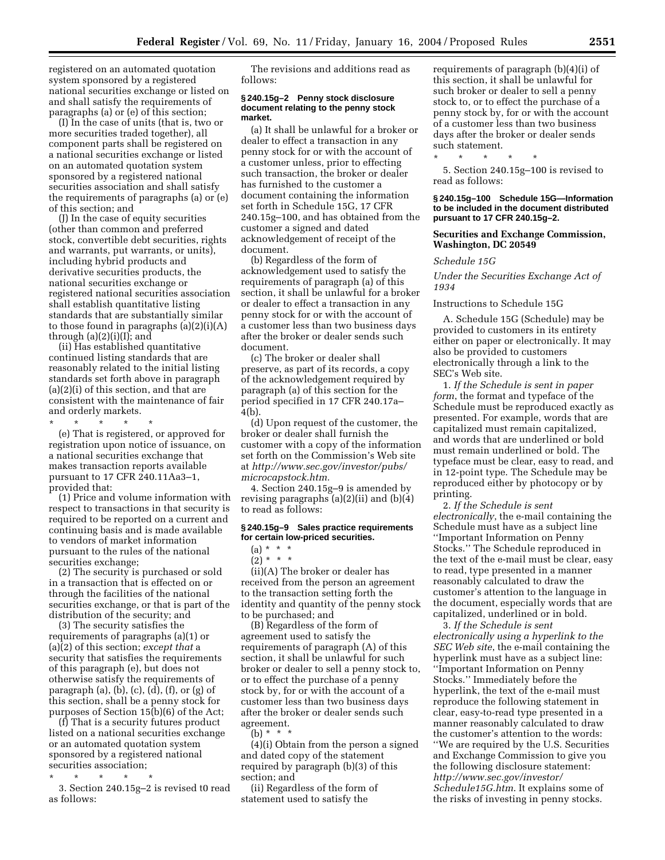registered on an automated quotation system sponsored by a registered national securities exchange or listed on and shall satisfy the requirements of paragraphs (a) or (e) of this section;

(I) In the case of units (that is, two or more securities traded together), all component parts shall be registered on a national securities exchange or listed on an automated quotation system sponsored by a registered national securities association and shall satisfy the requirements of paragraphs (a) or (e) of this section; and

(J) In the case of equity securities (other than common and preferred stock, convertible debt securities, rights and warrants, put warrants, or units), including hybrid products and derivative securities products, the national securities exchange or registered national securities association shall establish quantitative listing standards that are substantially similar to those found in paragraphs (a)(2)(i)(A) through  $(a)(2)(i)(I)$ ; and

(ii) Has established quantitative continued listing standards that are reasonably related to the initial listing standards set forth above in paragraph (a)(2)(i) of this section, and that are consistent with the maintenance of fair and orderly markets.

\* \* \* \* \* (e) That is registered, or approved for registration upon notice of issuance, on a national securities exchange that makes transaction reports available pursuant to 17 CFR 240.11Aa3–1, provided that:

(1) Price and volume information with respect to transactions in that security is required to be reported on a current and continuing basis and is made available to vendors of market information pursuant to the rules of the national securities exchange;

(2) The security is purchased or sold in a transaction that is effected on or through the facilities of the national securities exchange, or that is part of the distribution of the security; and

(3) The security satisfies the requirements of paragraphs (a)(1) or (a)(2) of this section; *except that* a security that satisfies the requirements of this paragraph (e), but does not otherwise satisfy the requirements of paragraph  $(a)$ ,  $(b)$ ,  $(c)$ ,  $(d)$ ,  $(f)$ , or  $(g)$  of this section, shall be a penny stock for purposes of Section 15(b)(6) of the Act;

(f) That is a security futures product listed on a national securities exchange or an automated quotation system sponsored by a registered national securities association;

\* \* \* \* \*

3. Section 240.15g–2 is revised t0 read as follows:

The revisions and additions read as follows:

### **§ 240.15g–2 Penny stock disclosure document relating to the penny stock market.**

(a) It shall be unlawful for a broker or dealer to effect a transaction in any penny stock for or with the account of a customer unless, prior to effecting such transaction, the broker or dealer has furnished to the customer a document containing the information set forth in Schedule 15G, 17 CFR 240.15g–100, and has obtained from the customer a signed and dated acknowledgement of receipt of the document.

(b) Regardless of the form of acknowledgement used to satisfy the requirements of paragraph (a) of this section, it shall be unlawful for a broker or dealer to effect a transaction in any penny stock for or with the account of a customer less than two business days after the broker or dealer sends such document.

(c) The broker or dealer shall preserve, as part of its records, a copy of the acknowledgement required by paragraph (a) of this section for the period specified in 17 CFR 240.17a– 4(b).

(d) Upon request of the customer, the broker or dealer shall furnish the customer with a copy of the information set forth on the Commission's Web site at *http://www.sec.gov/investor/pubs/ microcapstock.htm.*

4. Section 240.15g–9 is amended by revising paragraphs (a)(2)(ii) and (b)(4) to read as follows:

### **§ 240.15g–9 Sales practice requirements for certain low-priced securities.**

(ii)(A) The broker or dealer has received from the person an agreement to the transaction setting forth the identity and quantity of the penny stock to be purchased; and

(B) Regardless of the form of agreement used to satisfy the requirements of paragraph (A) of this section, it shall be unlawful for such broker or dealer to sell a penny stock to, or to effect the purchase of a penny stock by, for or with the account of a customer less than two business days after the broker or dealer sends such agreement.

(b) \* \* \*

(4)(i) Obtain from the person a signed and dated copy of the statement required by paragraph (b)(3) of this section; and

(ii) Regardless of the form of statement used to satisfy the

requirements of paragraph (b)(4)(i) of this section, it shall be unlawful for such broker or dealer to sell a penny stock to, or to effect the purchase of a penny stock by, for or with the account of a customer less than two business days after the broker or dealer sends such statement.

\* \* \* \* \* 5. Section 240.15g–100 is revised to read as follows:

#### **§ 240.15g–100 Schedule 15G—Information to be included in the document distributed pursuant to 17 CFR 240.15g–2.**

### **Securities and Exchange Commission, Washington, DC 20549**

### *Schedule 15G*

*Under the Securities Exchange Act of 1934* 

#### Instructions to Schedule 15G

A. Schedule 15G (Schedule) may be provided to customers in its entirety either on paper or electronically. It may also be provided to customers electronically through a link to the SEC's Web site.

1. *If the Schedule is sent in paper form*, the format and typeface of the Schedule must be reproduced exactly as presented. For example, words that are capitalized must remain capitalized, and words that are underlined or bold must remain underlined or bold. The typeface must be clear, easy to read, and in 12-point type. The Schedule may be reproduced either by photocopy or by printing.

2. *If the Schedule is sent electronically*, the e-mail containing the Schedule must have as a subject line ''Important Information on Penny Stocks.'' The Schedule reproduced in the text of the e-mail must be clear, easy to read, type presented in a manner reasonably calculated to draw the customer's attention to the language in the document, especially words that are capitalized, underlined or in bold.

3. *If the Schedule is sent electronically using a hyperlink to the SEC Web site*, the e-mail containing the hyperlink must have as a subject line: ''Important Information on Penny Stocks.'' Immediately before the hyperlink, the text of the e-mail must reproduce the following statement in clear, easy-to-read type presented in a manner reasonably calculated to draw the customer's attention to the words: ''We are required by the U.S. Securities and Exchange Commission to give you the following disclosure statement: *http://www.sec.gov/investor/ Schedule15G.htm*. It explains some of the risks of investing in penny stocks.

<sup>(</sup>a) \* \* \*  $(2) * * * *$